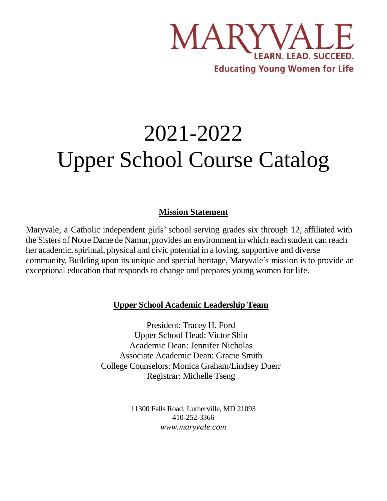

# 2021-2022 Upper School Course Catalog

## **Mission Statement**

Maryvale, a Catholic independent girls' school serving grades six through 12, affiliated with the Sisters of Notre Dame de Namur, provides an environment in which each student can reach her academic, spiritual, physical and civic potential in a loving, supportive and diverse community. Building upon its unique and special heritage, Maryvale's mission is to provide an exceptional education that responds to change and prepares young women for life.

## **Upper School Academic Leadership Team**

President: Tracey H. Ford Upper School Head: Victor Shin Academic Dean: Jennifer Nicholas Associate Academic Dean: Gracie Smith College Counselors: Monica Graham/Lindsey Duerr Registrar: Michelle Tseng

> 11300 Falls Road, Lutherville, MD 21093 410-252-3366 *[www.maryvale.com](http://www.maryvale.com/)*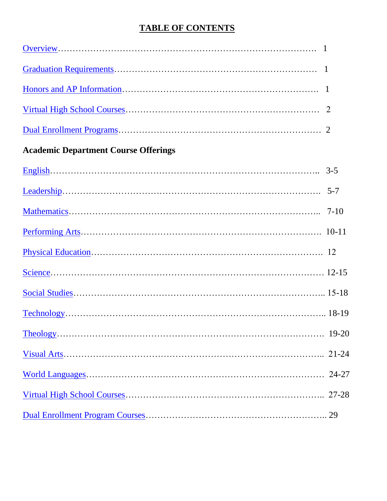## **TABLE OF CONTENTS**

<span id="page-1-1"></span><span id="page-1-0"></span>

|                                             | -1 |
|---------------------------------------------|----|
|                                             |    |
|                                             |    |
| <b>Academic Department Course Offerings</b> |    |
|                                             |    |
|                                             |    |
|                                             |    |
|                                             |    |
|                                             |    |
|                                             |    |
|                                             |    |
|                                             |    |
|                                             |    |
|                                             |    |
|                                             |    |
|                                             |    |
|                                             |    |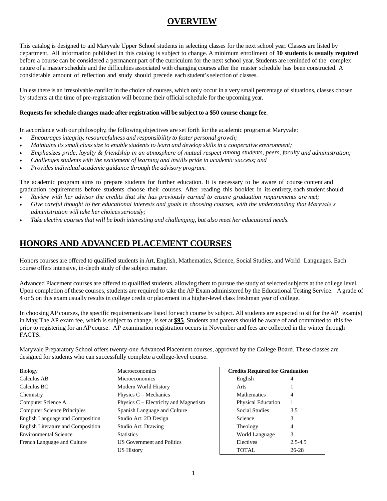## **OVERVIEW**

<span id="page-2-0"></span>This catalog is designed to aid Maryvale Upper School students in selecting classes for the next school year. Classes are listed by department. All information published in this catalog is subject to change. A minimum enrollment of **10 students is usually required** before a course can be considered a permanent part of the curriculum for the next school year. Students are reminded of the complex nature of a master schedule and the difficulties associated with changing courses after the master schedule has been constructed. A considerable amount of reflection and study should precede each student'sselection of classes.

Unless there is an irresolvable conflict in the choice of courses, which only occur in a very small percentage of situations, classes chosen by students at the time of pre-registration will become their official schedule for the upcoming year.

### **Requestsfor schedule changes made after registration will be subject to a \$50 course change fee**.

In accordance with our philosophy, the following objectives are set forth for the academic program at Maryvale:

- *Encourages integrity, resourcefulness and responsibility to foster personal growth;*
- Maintains its small class size to enable students to learn and develop skills in a cooperative environment;
- Emphasizes pride, loyalty & friendship in an atmosphere of mutual respect among students, peers, faculty and administration;
- *Challenges students with the excitement of learning and instills pride in academic success; and*
- *Provides individual academic guidance through the advisory program.*

The academic program aims to prepare students for further education. It is necessary to be aware of course content and graduation requirements before students choose their courses. After reading this booklet in its entirety, each student should:

- Review with her advisor the credits that she has previously earned to ensure graduation requirements are met;
- Give careful thought to her educational interests and goals in choosing courses, with the understanding that Maryvale's *administration will take her choices seriously;*
- *Take elective courses that will be both interesting and challenging, but also meet her educational needs.*

## <span id="page-2-1"></span>**HONORS AND ADVANCED PLACEMENT COURSES**

Honors courses are offered to qualified students in Art, English, Mathematics, Science, Social Studies, and World Languages. Each course offers intensive, in-depth study of the subject matter.

Advanced Placement courses are offered to qualified students, allowing them to pursue the study of selected subjects at the college level. Upon completion of these courses, students are required to take the AP Exam administered by the Educational Testing Service. Agrade of 4 or 5 on this exam usually results in college credit or placement in a higher-level class freshman year of college.

In choosing AP courses, the specific requirements are listed for each course by subject. All students are expected to sit for the AP exam(s) in May. The AP exam fee, which is subject to change, is set at **\$95**. Students and parents should be aware of and committed to this fee prior to registering for an AP course. AP examination registration occurs in November and fees are collected in the winter through FACTS.

Maryvale Preparatory School offers twenty-one Advanced Placement courses, approved by the College Board. These classes are designed for students who can successfully complete a college-level course.

| <b>Biology</b>                            | <b>Macroeconomics</b>                   | <b>Credits Required for Graduation</b> |             |
|-------------------------------------------|-----------------------------------------|----------------------------------------|-------------|
| Calculus AB                               | <b>Microeconomics</b>                   | English                                |             |
| Calculus BC                               | Modern World History                    | Arts                                   |             |
| Chemistry                                 | Physics $C -$ Mechanics                 | <b>Mathematics</b>                     | 4           |
| Computer Science A                        | Physics $C$ – Electricity and Magnetism | <b>Physical Education</b>              |             |
| <b>Computer Science Principles</b>        | Spanish Language and Culture            | <b>Social Studies</b>                  | 3.5         |
| English Language and Composition          | Studio Art: 2D Design                   | Science                                |             |
| <b>English Literature and Composition</b> | Studio Art: Drawing                     | Theology                               | 4           |
| <b>Environmental Science</b>              | <b>Statistics</b>                       | World Language                         | 3           |
| French Language and Culture               | US Government and Politics              | Electives                              | $2.5 - 4.5$ |
|                                           | <b>US History</b>                       | TOTAL                                  | $26 - 28$   |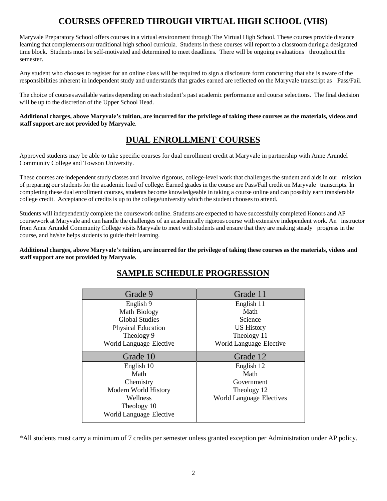## **COURSES OFFERED THROUGH VIRTUAL HIGH SCHOOL (VHS)**

<span id="page-3-0"></span>Maryvale Preparatory School offers courses in a virtual environment through The Virtual High School. These courses provide distance learning that complements our traditional high school curricula. Students in these courses will report to a classroom during a designated time block. Students must be self-motivated and determined to meet deadlines. There will be ongoing evaluations throughout the semester.

Any student who chooses to register for an online class will be required to sign a disclosure form concurring that she is aware of the responsibilities inherent in independent study and understands that grades earned are reflected on the Maryvale transcript as Pass/Fail.

The choice of courses available varies depending on each student's past academic performance and course selections. The final decision will be up to the discretion of the Upper School Head.

Additional charges, above Maryvale's tuition, are incurred for the privilege of taking these courses as the materials, videos and **staff support are not provided by Maryvale**.

## **DUAL ENROLLMENT COURSES**

<span id="page-3-1"></span>Approved students may be able to take specific courses for dual enrollment credit at Maryvale in partnership with Anne Arundel Community College and Towson University.

These courses are independent study classes and involve rigorous, college-level work that challenges the student and aids in our mission of preparing our students for the academic load of college. Earned grades in the course are Pass/Fail credit on Maryvale transcripts. In completing these dual enrollment courses, students become knowledgeable in taking a course online and can possibly earn transferable college credit. Acceptance of credits is up to the college/university which the student chooses to attend.

Students will independently complete the coursework online. Students are expected to have successfully completed Honors and AP coursework at Maryvale and can handle the challenges of an academically rigorous course with extensive independent work. An instructor from Anne Arundel Community College visits Maryvale to meet with students and ensure that they are making steady progress in the course, and he/she helps students to guide their learning.

Additional charges, above Maryvale's tuition, are incurred for the privilege of taking these courses as the materials, videos and **staff support are not provided by Maryvale.**

| <b>SAMPLE SCHEDULE PROGRESSION</b> |
|------------------------------------|
|                                    |

| Grade 9                   | Grade 11                        |
|---------------------------|---------------------------------|
| English 9                 | English 11                      |
| Math Biology              | Math                            |
| <b>Global Studies</b>     | Science                         |
| <b>Physical Education</b> | <b>US History</b>               |
| Theology 9                | Theology 11                     |
| World Language Elective   | World Language Elective         |
| Grade 10                  | Grade 12                        |
| English 10                | English 12                      |
| Math                      | Math                            |
| Chemistry                 | Government                      |
| Modern World History      | Theology 12                     |
| Wellness                  | <b>World Language Electives</b> |
| Theology 10               |                                 |
| World Language Elective   |                                 |

\*All students must carry a minimum of 7 credits per semester unless granted exception per Administration under AP policy.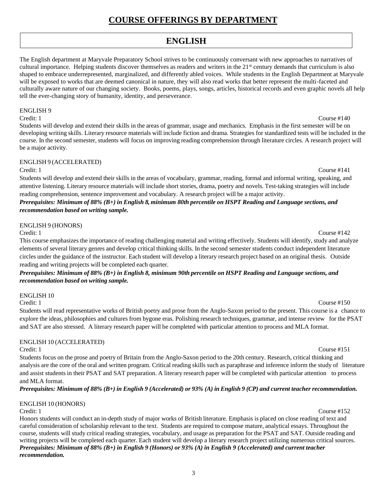## **COURSE OFFERINGS BY DEPARTMENT**

## **ENGLISH**

<span id="page-4-0"></span>The English department at Maryvale Preparatory School strives to be continuously conversant with new approaches to narratives of cultural importance. Helping students discover themselves as readers and writers in the  $21<sup>st</sup>$  century demands that curriculum is also shaped to embrace underrepresented, marginalized, and differently abled voices. While students in the English Department at Maryvale will be exposed to works that are deemed canonical in nature, they will also read works that better represent the multi-faceted and culturally aware nature of our changing society. Books, poems, plays, songs, articles, historical records and even graphic novels all help tell the ever-changing story of humanity, identity, and perseverance.

### ENGLISH 9

Credit: 1 Course #140

Students will develop and extend their skills in the areas of grammar, usage and mechanics. Emphasis in the first semester will be on developing writing skills. Literary resource materials will include fiction and drama. Strategies for standardized tests will be included in the course. In the second semester, students will focus on improving reading comprehension through literature circles. A research project will be a major activity.

### ENGLISH 9 (ACCELERATED)

Credit: 1 Course #141

Students will develop and extend their skills in the areas of vocabulary, grammar, reading, formal and informal writing, speaking, and attentive listening. Literary resource materials will include short stories, drama, poetry and novels. Test-taking strategies will include reading comprehension, sentence improvement and vocabulary. A research project will be a major activity.

### Prerequisites: Minimum of 88% (B+) in English 8, minimum 80th percentile on HSPT Reading and Language sections, and *recommendation based on writing sample.*

### ENGLISH 9 (HONORS)

Credit: 1 Course #142 This course emphasizes the importance of reading challenging material and writing effectively. Students will identify, study and analyze elements of several literary genres and develop critical thinking skills. In the second semester students conduct independent literature circles under the guidance of the instructor. Each student will develop a literary research project based on an original thesis. Outside reading and writing projects will be completed each quarter.

Prerequisites: Minimum of 88% (B+) in English 8, minimum 90th percentile on HSPT Reading and Language sections, and *recommendation based on writing sample.*

### ENGLISH 10

Credit: 1 Course #150 Students will read representative works of British poetry and prose from the Anglo-Saxon period to the present. This course is a chance to explore the ideas, philosophies and cultures from bygone eras. Polishing research techniques, grammar, and intense review for the PSAT and SAT are also stressed. A literary research paper will be completed with particular attention to process and MLA format.

### ENGLISH 10 (ACCELERATED)

Credit: 1 Course #151

Students focus on the prose and poetry of Britain from the Anglo-Saxon period to the 20th century. Research, critical thinking and analysis are the core of the oral and written program. Critical reading skills such as paraphrase and inference inform the study of literature and assist students in their PSAT and SAT preparation. A literary research paper will be completed with particular attention to process and MLA format.

Prerequisites: Minimum of 88% (B+) in English 9 (Accelerated) or 93% (A) in English 9 (CP) and current teacher recommendation.

### ENGLISH 10 (HONORS)

Credit: 1 Course #152 Honors students will conduct an in-depth study of major works of British literature. Emphasis is placed on close reading of text and careful consideration of scholarship relevant to the text. Students are required to compose mature, analytical essays. Throughout the course, students will study critical reading strategies, vocabulary, and usage as preparation for the PSAT and SAT. Outside reading and writing projects will be completed each quarter. Each student will develop a literary research project utilizing numerous critical sources. Prerequisites: Minimum of 88% (B+) in English 9 (Honors) or 93% (A) in English 9 (Accelerated) and current teacher *recommendation.*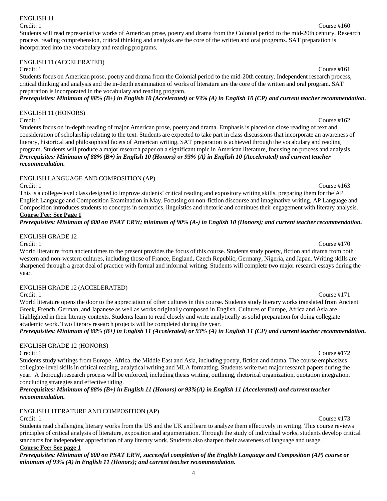### ENGLISH 11

### Credit: 1 Course #160

Students will read representative works of American prose, poetry and drama from the Colonial period to the mid-20th century. Research process, reading comprehension, critical thinking and analysis are the core of the written and oral programs. SAT preparation is incorporated into the vocabulary and reading programs.

### ENGLISH 11 (ACCELERATED)

### Credit: 1 Course #161

Students focus on American prose, poetry and drama from the Colonial period to the mid-20th century. Independent research process, critical thinking and analysis and the in-depth examination of works of literature are the core of the written and oral program. SAT preparation is incorporated in the vocabulary and reading program.

Prerequisites: Minimum of 88%  $(B+)$  in English 10 (Accelerated) or 93%  $(A)$  in English 10 (CP) and current teacher recommendation.

### ENGLISH 11 (HONORS)

### Credit: 1 Course #162

Students focus on in-depth reading of major American prose, poetry and drama. Emphasis is placed on close reading of text and consideration of scholarship relating to the text. Students are expected to take part in class discussions that incorporate an awareness of literary, historical and philosophical facets of American writing. SAT preparation is achieved through the vocabulary and reading program. Students will produce a major research paper on a significant topic in American literature, focusing on process and analysis. Prerequisites: Minimum of 88% (B+) in English 10 (Honors) or 93% (A) in English 10 (Accelerated) and current teacher *recommendation.*

### ENGLISH LANGUAGE AND COMPOSITION (AP)

Credit: 1 Course #163

This is a college-level class designed to improve students' critical reading and expository writing skills, preparing them for the AP English Language and Composition Examination in May. Focusing on non-fiction discourse and imaginative writing, AP Language and Composition introduces students to concepts in semantics, linguistics and rhetoric and continues their engagement with literary analysis. **Course Fee: See Page 1**

### Prerequisites: Minimum of 600 on PSAT ERW; minimum of 90% (A-) in English 10 (Honors); and current teacher recommendation.

ENGLISH GRADE 12

Credit: 1 Course #170

World literature from ancient times to the present provides the focus of this course. Students study poetry, fiction and drama from both western and non-western cultures, including those of France, England, Czech Republic, Germany, Nigeria, and Japan. Writing skills are sharpened through a great deal of practice with formal and informal writing. Students will complete two major research essays during the year.

### ENGLISH GRADE 12 (ACCELERATED)

Credit: 1 Course #171

World literature opens the door to the appreciation of other cultures in this course. Students study literary works translated from Ancient Greek, French, German, and Japanese as well as works originally composed in English. Cultures of Europe, Africa and Asia are highlighted in their literary contexts. Students learn to read closely and write analytically as solid preparation for doing collegiate academic work. Two literary research projects will be completed during the year.

### Prerequisites: Minimum of 88%  $(B+)$  in English 11 (Accelerated) or 93% (A) in English 11 (CP) and current teacher recommendation.

### ENGLISH GRADE 12 (HONORS)

Students study writings from Europe, Africa, the Middle East and Asia, including poetry, fiction and drama. The course emphasizes collegiate-level skills in critical reading, analytical writing and MLA formatting. Students write two major research papers during the year. A thorough research process will be enforced, including thesis writing, outlining, rhetorical organization, quotation integration, concluding strategies and effective titling.

Prerequisites: Minimum of 88% (B+) in English 11 (Honors) or 93%(A) in English 11 (Accelerated) and current teacher *recommendation.*

### ENGLISH LITERATURE AND COMPOSITION (AP)

### Credit: 1 Course #173

Students read challenging literary works from the US and the UK and learn to analyze them effectively in writing. This course reviews principles of critical analysis of literature, exposition and argumentation. Through the study of individual works, students develop critical standards for independent appreciation of any literary work. Students also sharpen their awareness of language and usage. **Course Fee: See page 1**

Prerequisites: Minimum of 600 on PSAT ERW, successful completion of the English Language and Composition (AP) course or *minimum of 93% (A) in English 11 (Honors); and current teacher recommendation.*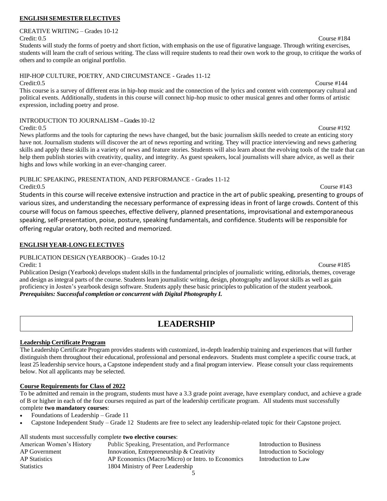### **ENGLISH SEMESTER ELECTIVES**

### CREATIVE WRITING – Grades 10-12 Credit: 0.5 Course #184

Students will study the forms of poetry and short fiction, with emphasis on the use of figurative language. Through writing exercises, students will learn the craft of serious writing. The class will require students to read their own work to the group, to critique the works of others and to compile an original portfolio.

### HIP-HOP CULTURE, POETRY, AND CIRCUMSTANCE - Grades 11-12

Credit:0.5 Course #144 This course is a survey of different eras in hip-hop music and the connection of the lyrics and content with contemporary cultural and political events. Additionally, students in this course will connect hip-hop music to other musical genres and other forms of artistic expression, including poetry and prose.

### INTRODUCTION TO JOURNALISM **–**Grades 10 -12

Credit: 0.5 Course #192 News platforms and the tools for capturing the news have changed, but the basic journalism skills needed to create an enticing story have not. Journalism students will discover the art of news reporting and writing. They will practice interviewing and news gathering skills and apply these skills in a variety of news and feature stories. Students will also learn about the evolving tools of the trade that can help them publish stories with creativity, quality, and integrity. As guest speakers, local journalists will share advice, as well as their highs and lows while working in an ever-changing career.

PUBLIC SPEAKING, PRESENTATION, AND PERFORMANCE - Grades 11-12 Credit:0.5 Course #143

Students in this course will receive extensive instruction and practice in the art of public speaking, presenting to groups of various sizes, and understanding the necessary performance of expressing ideas in front of large crowds. Content of this course will focus on famous speeches, effective delivery, planned presentations, improvisational and extemporaneous speaking, self-presentation, poise, posture, speaking fundamentals, and confidence. Students will be responsible for offering regular oratory, both recited and memorized.

### **ENGLISH YEAR-LONG ELECTIVES**

PUBLICATION DESIGN (YEARBOOK) – Grades 10-12

Credit: 1 Course #185 Publication Design (Yearbook) develops student skills in the fundamental principles of journalistic writing, editorials, themes, coverage and design as integral parts of the course. Students learn journalistic writing, design, photography and layout skills as well as gain proficiency in Josten's yearbook design software. Students apply these basic principles to publication of the student yearbook. *Prerequisites: Successful completion or concurrent with Digital Photography I.*

## **LEADERSHIP**

### <span id="page-6-0"></span>**Leadership Certificate Program**

The Leadership Certificate Program provides students with customized, in-depth leadership training and experiences that will further distinguish them throughout their educational, professional and personal endeavors. Students must complete a specific course track, at least 25 leadership service hours, a Capstone independent study and a final program interview. Please consult your class requirements below. Not all applicants may be selected.

### **Course Requirements for Class of 2022**

To be admitted and remain in the program, students must have a 3.3 grade point average, have exemplary conduct, and achieve a grade of B or higher in each of the four courses required as part of the leadership certificate program. All students must successfully complete **two mandatory courses**:

- Foundations of Leadership Grade 11
- Capstone Independent Study Grade 12 Students are free to select any leadership-related topic for their Capstone project.

All students must successfully complete **two elective courses**:

| American Women's History | Public Speaking, Presentation, and Performance    | Introduction to Business  |
|--------------------------|---------------------------------------------------|---------------------------|
| AP Government            | Innovation, Entrepreneurship $&$ Creativity       | Introduction to Sociology |
| <b>AP</b> Statistics     | AP Economics (Macro/Micro) or Intro. to Economics | Introduction to Law       |
| <b>Statistics</b>        | 1804 Ministry of Peer Leadership                  |                           |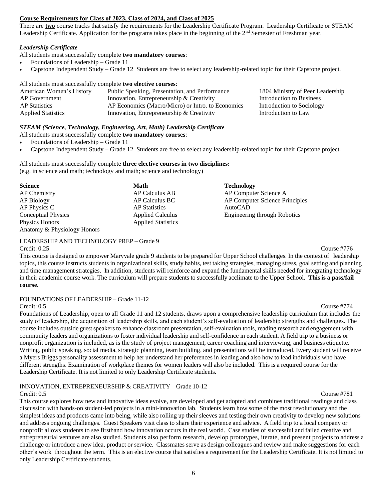### **Course Requirements for Class of 2023, Class of 2024, and Class of 2025**

There are **two** course tracks that satisfy the requirements for the Leadership Certificate Program. Leadership Certificate or STEAM Leadership Certificate. Application for the programs takes place in the beginning of the 2<sup>nd</sup> Semester of Freshman year.

### *Leadership Certificate*

All students must successfully complete **two mandatory courses**:

- Foundations of Leadership Grade 11
- Capstone Independent Study Grade 12 Students are free to select any leadership-related topic for their Capstone project.

All students must successfully complete **two elective courses**:

| American Women's History  | Public Speaking, Presentation, and Performance    | 1804 Ministry of Peer Leadership |
|---------------------------|---------------------------------------------------|----------------------------------|
| AP Government             | Innovation, Entrepreneurship $\&$ Creativity      | Introduction to Business         |
| <b>AP</b> Statistics      | AP Economics (Macro/Micro) or Intro. to Economics | Introduction to Sociology        |
| <b>Applied Statistics</b> | Innovation, Entrepreneurship & Creativity         | Introduction to Law              |

### *STEAM (Science, Technology, Engineering, Art, Math) Leadership Certificate*

All students must successfully complete **two mandatory courses**:

- Foundations of Leadership Grade 11
- Capstone Independent Study Grade 12 Students are free to select any leadership-related topic for their Capstone project.

### All students must successfully complete **three elective courses in two disciplines:** (e.g. in science and math; technology and math; science and technology)

| <b>Science</b>              | Math                      | <b>Technology</b>                   |
|-----------------------------|---------------------------|-------------------------------------|
| AP Chemistry                | AP Calculus AB            | AP Computer Science A               |
| AP Biology                  | AP Calculus BC            | AP Computer Science Principles      |
| AP Physics C                | <b>AP</b> Statistics      | AutoCAD                             |
| <b>Conceptual Physics</b>   | <b>Applied Calculus</b>   | <b>Engineering through Robotics</b> |
| Physics Honors              | <b>Applied Statistics</b> |                                     |
| Anatomy & Physiology Honors |                           |                                     |

LEADERSHIP AND TECHNOLOGY PREP – Grade 9

Credit: 0.25 Course #776 This course is designed to empower Maryvale grade 9 students to be prepared for Upper School challenges. In the context of leadership topics, this course instructs students in organizational skills, study habits, test taking strategies, managing stress, goal setting and planning and time management strategies. In addition, students will reinforce and expand the fundamental skills needed for integrating technology in their academic course work. The curriculum will prepare students to successfully acclimate to the Upper School. **This is a pass/fail course.**

### FOUNDATIONS OF LEADERSHIP – Grade 11-12

### Credit: 0.5 Course #774

Foundations of Leadership, open to all Grade 11 and 12 students, draws upon a comprehensive leadership curriculum that includes the study of leadership, the acquisition of leadership skills, and each student's self-evaluation of leadership strengths and challenges. The course includes outside guest speakers to enhance classroom presentation, self-evaluation tools, reading research and engagement with community leaders and organizations to foster individual leadership and self-confidence in each student. A field trip to a business or nonprofit organization is included, as is the study of project management, career coaching and interviewing, and business etiquette. Writing, public speaking, social media, strategic planning, team building, and presentations will be introduced. Every student will receive a Myers Briggs personality assessment to help her understand her preferences in leading and also how to lead individuals who have different strengths. Examination of workplace themes for women leaders will also be included. This is a required course for the Leadership Certificate. It is not limited to only Leadership Certificate students.

### INNOVATION, ENTREPRENEURSHIP & CREATIVITY – Grade 10-12

Credit: 0.5 Course #781 This course explores how new and innovative ideas evolve, are developed and get adopted and combines traditional readings and class discussion with hands-on student-led projects in a mini-innovation lab. Students learn how some of the most revolutionary and the simplest ideas and products came into being, while also rolling up their sleeves and testing their own creativity to develop new solutions and address ongoing challenges. Guest Speakers visit class to share their experience and advice. A field trip to a local company or nonprofit allows students to see firsthand how innovation occurs in the real world. Case studies of successful and failed creative and entrepreneurial ventures are also studied. Students also perform research, develop prototypes, iterate, and present projects to address a challenge or introduce a new idea, product or service. Classmates serve as design colleagues and review and make suggestions for each other's work throughout the term. This is an elective course that satisfies a requirement for the Leadership Certificate. It is not limited to only Leadership Certificate students.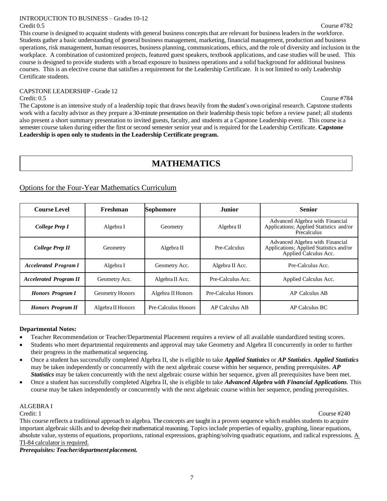### INTRODUCTION TO BUSINESS – Grades 10-12 Credit 0.5 Course #782

This course is designed to acquaint students with general business concepts that are relevant for business leaders in the workforce. Students gather a basic understanding of general business management, marketing, financial management, production and business operations, risk management, human resources, business planning, communications, ethics, and the role of diversity and inclusion in the workplace. A combination of customized projects, featured guest speakers, textbook applications, and case studies will be used. This course is designed to provide students with a broad exposure to business operations and a solid background for additional business courses. This is an elective course that satisfies a requirement for the Leadership Certificate. It is not limited to only Leadership Certificate students.

## CAPSTONE LEADERSHIP - Grade 12

Credit: 0.5 Course #784 The Capstone is an intensive study of a leadership topic that draws heavily from the student's own original research. Capstone students work with a faculty advisor as they prepare a 30-minute presentation on their leadership thesis topic before a review panel; all students also present a short summary presentation to invited guests, faculty, and students at a Capstone Leadership event. This course is a semester course taken during either the first or second semester senior year and is required for the Leadership Certificate. **Capstone Leadership is open only to students in the Leadership Certificate program.** 

## **MATHEMATICS**

### <span id="page-8-0"></span>Options for the Four-Year Mathematics Curriculum

| <b>Course Level</b>           | Freshman               | Sophomore           | <b>Junior</b>       | <b>Senior</b>                                                                                       |
|-------------------------------|------------------------|---------------------|---------------------|-----------------------------------------------------------------------------------------------------|
| College Prep I                | Algebra I              | Geometry            | Algebra II          | Advanced Algebra with Financial<br>Applications; Applied Statistics and/or<br>Precalculus           |
| College Prep II               | Geometry               | Algebra II          | Pre-Calculus        | Advanced Algebra with Financial<br>Applications; Applied Statistics and/or<br>Applied Calculus Acc. |
| <b>Accelerated Program I</b>  | Algebra I              | Geometry Acc.       | Algebra II Acc.     | Pre-Calculus Acc.                                                                                   |
| <b>Accelerated Program II</b> | Geometry Acc.          | Algebra II Acc.     | Pre-Calculus Acc.   | Applied Calculus Acc.                                                                               |
| <b>Honors Program I</b>       | <b>Geometry Honors</b> | Algebra II Honors   | Pre-Calculus Honors | <b>AP Calculus AB</b>                                                                               |
| <b>Honors Program II</b>      | Algebra II Honors      | Pre-Calculus Honors | AP Calculus AB      | AP Calculus BC                                                                                      |

### **Departmental Notes:**

- Teacher Recommendation or Teacher/Departmental Placement requires a review of all available standardized testing scores.
- Students who meet departmental requirements and approval may take Geometry and Algebra II concurrently in order to further their progress in the mathematical sequencing.
- Once a student has successfully completed Algebra II, she is eligible to take *Applied Statistics* or *AP Statistics*. *Applied Statistics* may be taken independently or concurrently with the next algebraic course within her sequence, pending prerequisites. *AP Statistics* may be taken concurrently with the next algebraic course within her sequence, given all prerequisites have been met.
- Once a student has successfully completed Algebra II, she is eligible to take *Advanced Algebra with Financial Applications*. This course may be taken independently or concurrently with the next algebraic course within her sequence, pending prerequisites.

### ALGEBRA I

Credit: 1 Course #240

This course reflects a traditional approach to algebra. The concepts are taught in a proven sequence which enables students to acquire important algebraic skills and to develop their mathematical reasoning. Topics include properties of equality, graphing, linear equations, absolute value, systems of equations, proportions, rational expressions, graphing/solving quadratic equations, and radical expressions. A TI-84 calculator is required.

*Prerequisites: Teacher/department placement.*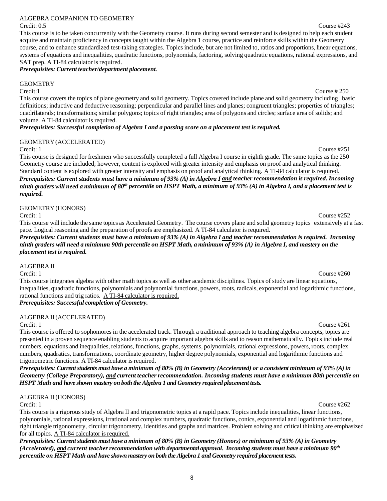### ALGEBRA COMPANION TO GEOMETRY

### Credit: 0.5 Course #243

This course is to be taken concurrently with the Geometry course. It runs during second semester and is designed to help each student acquire and maintain proficiency in concepts taught within the Algebra 1 course, practice and reinforce skills within the Geometry course, and to enhance standardized test-taking strategies. Topics include, but are not limited to, ratios and proportions, linear equations, systems of equations and inequalities, quadratic functions, polynomials, factoring, solving quadratic equations, rational expressions, and SAT prep. A TI-84 calculator is required.

### *Prerequisites: Current teacher/department placement.*

### **GEOMETRY**

### Credit:1 Course # 250

This course covers the topics of plane geometry and solid geometry. Topics covered include plane and solid geometry including basic definitions; inductive and deductive reasoning; perpendicular and parallel lines and planes; congruent triangles; properties of triangles; quadrilaterals; transformations; similar polygons; topics of right triangles; area of polygons and circles; surface area of solids; and volume. A TI-84 calculator is required.

*Prerequisites: Successful completion of Algebra I and a passing score on a placement test is required.*

### GEOMETRY(ACCELERATED)

### Credit: 1 Course #251

This course is designed for freshmen who successfully completed a full Algebra I course in eighth grade. The same topics as the 250 Geometry course are included; however, content is explored with greater intensity and emphasis on proof and analytical thinking. Standard content is explored with greater intensity and emphasis on proof and analytical thinking. A TI-84 calculator is required. *Prerequisites: Current students must have a minimum of 93% (A) in Algebra I and teacher recommendation is required. Incoming* ninth graders will need a minimum of 80<sup>th</sup> percentile on HSPT Math, a minimum of 93% (A) in Algebra I, and a placement test is *required.*

### GEOMETRY (HONORS)

This course will include the same topics as Accelerated Geometry. The course covers plane and solid geometry topics extensively at a fast pace. Logical reasoning and the preparation of proofs are emphasized. A TI-84 calculator is required.

*Prerequisites: Current students must have a minimum of 93% (A) in Algebra I and teacher recommendation is required. Incoming* ninth graders will need a minimum 90th percentile on HSPT Math, a minimum of 93% (A) in Algebra I, and mastery on the *placement test is required.*

### ALGEBRA II

Credit: 1 Course #260

This course integrates algebra with other math topics as well as other academic disciplines. Topics of study are linear equations, inequalities, quadratic functions, polynomials and polynomial functions, powers, roots, radicals, exponential and logarithmic functions, rational functions and trig ratios. A TI-84 calculator is required.

*Prerequisites: Successful completion of Geometry.*

### ALGEBRA II(ACCELERATED)

Credit: 1 Course #261 This course is offered to sophomores in the accelerated track. Through a traditional approach to teaching algebra concepts, topics are presented in a proven sequence enabling students to acquire important algebra skills and to reason mathematically. Topics include real numbers, equations and inequalities, relations, functions, graphs, systems, polynomials, rational expressions, powers, roots, complex numbers, quadratics, transformations, coordinate geometry, higher degree polynomials, exponential and logarithmic functions and trigonometric functions. A TI-84 calculator is required.

*Prerequisites: Current students must have a minimum of 80% (B) in Geometry (Accelerated) or a consistent minimum of 93% (A) in Geometry (College Preparatory), and current teacherrecommendation. Incoming students must have a minimum 80th percentile on HSPT Math and have shown mastery on both the Algebra 1 and Geometry required placement tests.* 

### ALGEBRA II (HONORS)

This course is a rigorous study of Algebra II and trigonometric topics at a rapid pace. Topics include inequalities, linear functions, polynomials, rational expressions, irrational and complex numbers, quadratic functions, conics, exponential and logarithmic functions, right triangle trigonometry, circular trigonometry, identities and graphs and matrices. Problem solving and critical thinking are emphasized for all topics. A TI-84 calculator is required.

*Prerequisites: Current students must have a minimum of 80% (B) in Geometry (Honors) or minimum of 93% (A) in Geometry (Accelerated), and current teacher recommendation with departmental approval. Incoming students must have a minimum 90th percentile on HSPT Math and have shown mastery on both the Algebra 1 and Geometry required placement tests.* 

Credit: 1 Course #252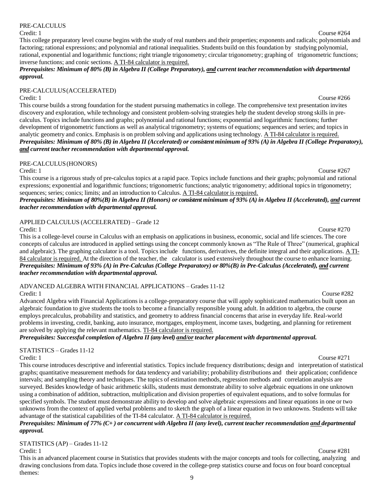### PRE-CALCULUS

### Credit: 1 Course #264

### This college preparatory level course begins with the study of real numbers and their properties; exponents and radicals; polynomials and factoring; rational expressions; and polynomial and rational inequalities. Students build on this foundation by studying polynomial, rational, exponential and logarithmic functions; right triangle trigonometry; circular trigonometry; graphing of trigonometric functions; inverse functions; and conic sections. A TI-84 calculator is required.

### *Prerequisites: Minimum of 80% (B) in Algebra II (College Preparatory), and current teacher recommendation with departmental approval.*

### PRE-CALCULUS(ACCELERATED)

This course builds a strong foundation for the student pursuing mathematics in college. The comprehensive text presentation invites discovery and exploration, while technology and consistent problem-solving strategies help the student develop strong skills in precalculus. Topics include functions and graphs; polynomial and rational functions; exponential and logarithmic functions; further development of trigonometric functions as well as analytical trigonometry; systems of equations; sequences and series; and topics in analytic geometry and conics. Emphasis is on problem solving and applications using technology. A TI-84 calculator isrequired. Prerequisites: Minimum of 80% (B) in Algebra II (Accelerated) or consistent minimum of 93% (A) in Algebra II (College Preparatory), *and current teacher recommendation with departmental approval.*

### PRE-CALCULUS(HONORS)

Credit: 1 Course #267

This course is a rigorous study of pre-calculus topics at a rapid pace. Topics include functions and their graphs; polynomial and rational expressions; exponential and logarithmic functions; trigonometric functions; analytic trigonometry; additional topics in trigonometry; sequences; series; conics; limits; and an introduction to Calculus. A TI-84 calculator is required.

Prerequisites: Minimum of 80%(B) in Algebra II (Honors) or consistent minimum of 93% (A) in Algebra II (Accelerated), and current *teacher recommendation with departmental approval.*

### APPLIED CALCULUS (ACCELERATED) – Grade 12

Credit: 1 Course #270 This is a college-level course in Calculus with an emphasis on applications in business, economic, social and life sciences. The core concepts of calculus are introduced in applied settings using the concept commonly known as "The Rule of Three" (numerical, graphical and algebraic). The graphing calculator is a tool. Topics include functions, derivatives, the definite integral and their applications. A TI-84 calculator is required. At the direction of the teacher, the calculator is used extensively throughout the course to enhance learning. *Prerequisites: Minimum of 93% (A) in Pre-Calculus (College Preparatory) or 80%(B) in Pre-Calculus (Accelerated), and current teacher recommendation with departmental approval.*

ADVANCED ALGEBRA WITH FINANCIAL APPLICATIONS – Grades 11-12

Credit: 1 Course #282 Advanced Algebra with Financial Applications is a college-preparatory course that will apply sophisticated mathematics built upon an algebraic foundation to give students the tools to become a financially responsible young adult. In addition to algebra, the course employs precalculus, probability and statistics, and geometry to address financial concerns that arise in everyday life. Real-world problems in investing, credit, banking, auto insurance, mortgages, employment, income taxes, budgeting, and planning for retirement are solved by applying the relevant mathematics. TI-84 calculator is required.

*Prerequisites: Successful completion of Algebra II (any level) and/or teacher placement with departmental approval.*

STATISTICS – Grades 11-12

Credit: 1 Course #271 This course introduces descriptive and inferential statistics. Topics include frequency distributions; design and interpretation of statistical graphs; quantitative measurement methods for data tendency and variability; probability distributions and their application; confidence intervals; and sampling theory and techniques. The topics of estimation methods, regression methods and correlation analysis are surveyed. Besides knowledge of basic arithmetic skills, students must demonstrate ability to solve algebraic equations in one unknown using a combination of addition, subtraction, multiplication and division properties of equivalent equations, and to solve formulas for specified symbols. The student must demonstrate ability to develop and solve algebraic expressions and linear equations in one or two unknowns from the context of applied verbal problems and to sketch the graph of a linear equation in two unknowns. Students will take advantage of the statistical capabilities of the TI-84 calculator. A TI-84 calculator is required.

### Prerequisites: Minimum of 77%  $(C+)$  or concurrent with Algebra II (any level), current teacher recommendation and departmental *approval.*

STATISTICS (AP) – Grades 11-12

Credit: 1 Course #281

This is an advanced placement course in Statistics that provides students with the major concepts and tools for collecting, analyzing and drawing conclusions from data. Topics include those covered in the college-prep statistics course and focus on four board conceptual themes: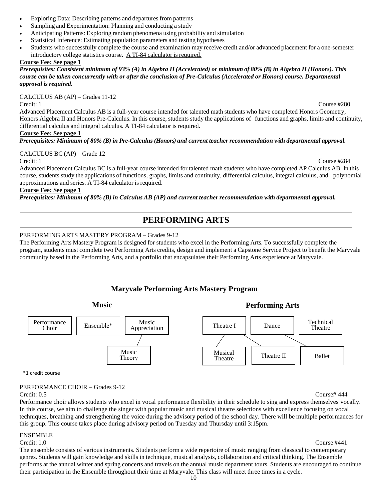- Exploring Data: Describing patterns and departures from patterns
- Sampling and Experimentation: Planning and conducting a study
- Anticipating Patterns: Exploring random phenomena using probability and simulation
- Statistical Inference: Estimating population parameters and testing hypotheses
- Students who successfully complete the course and examination may receive credit and/or advanced placement for a one-semester introductory college statistics course. A TI-84 calculator is required.

### **Course Fee: See page 1**

### *Prerequisites: Consistent minimum of 93% (A) in Algebra II(Accelerated) or minimum of 80% (B) in Algebra II (Honors). This course can be taken concurrently with or after the conclusion of Pre-Calculus(Accelerated or Honors) course. Departmental approval is required.*

CALCULUS AB (AP) – Grades 11-12

Credit: 1 Course #280

Advanced Placement Calculus AB is a full-year course intended for talented math students who have completed Honors Geometry, Honors Algebra II and Honors Pre-Calculus. In this course, students study the applications of functions and graphs, limits and continuity, differential calculus and integral calculus. A TI-84 calculator is required.

### **Course Fee: See page 1**

*Prerequisites: Minimum of 80% (B) in Pre-Calculus (Honors) and current teacher recommendation with departmental approval.*

### CALCULUS BC (AP) – Grade 12

Credit: 1 Course #284

Advanced Placement Calculus BC is a full-year course intended for talented math students who have completed AP Calculus AB. In this course, students study the applications of functions, graphs, limits and continuity, differential calculus, integral calculus, and polynomial approximations and series. A TI-84 calculator is required.

### **Course Fee: See page 1**

<span id="page-11-0"></span>*Prerequisites: Minimum of 80% (B) in Calculus AB (AP) and current teacher recommendation with departmental approval.*

## **PERFORMING ARTS**

### PERFORMING ARTS MASTERY PROGRAM – Grades 9-12

The Performing Arts Mastery Program is designed for students who excel in the Performing Arts. To successfully complete the program, students must complete two Performing Arts credits, design and implement a Capstone Service Project to benefit the Maryvale community based in the Performing Arts, and a portfolio that encapsulates their Performing Arts experience at Maryvale.

## **Maryvale Performing Arts Mastery Program**



\*1 credit course

### PERFORMANCE CHOIR – Grades 9-12

Credit: 0.5 Course# 444 Performance choir allows students who excel in vocal performance flexibility in their schedule to sing and express themselves vocally. In this course, we aim to challenge the singer with popular music and musical theatre selections with excellence focusing on vocal techniques, breathing and strengthening the voice during the advisory period of the school day. There will be multiple performances for this group. This course takes place during advisory period on Tuesday and Thursday until 3:15pm.

### ENSEMBLE

Credit: 1.0 Course #441 The ensemble consists of various instruments. Students perform a wide repertoire of music ranging from classical to contemporary genres. Students will gain knowledge and skills in technique, musical analysis, collaboration and critical thinking. The Ensemble performs at the annual winter and spring concerts and travels on the annual music department tours. Students are encouraged to continue their participation in the Ensemble throughout their time at Maryvale. This class will meet three times in a cycle.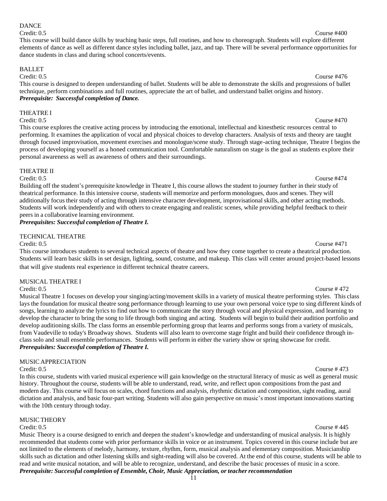### 11

### DANCE

### Credit: 0.5 Course #400

This course will build dance skills by teaching basic steps, full routines, and how to choreograph. Students will explore different elements of dance as well as different dance styles including ballet, jazz, and tap. There will be several performance opportunities for dance students in class and during school concerts/events.

### BALLET

Credit: 0.5 Course #476

This course is designed to deepen understanding of ballet. Students will be able to demonstrate the skills and progressions of ballet technique, perform combinations and full routines, appreciate the art of ballet, and understand ballet origins and history. *Prerequisite: Successful completion of Dance.*

### THEATRE I

Credit: 0.5 Course #470 This course explores the creative acting process by introducing the emotional, intellectual and kinesthetic resources central to performing. It examines the application of vocal and physical choices to develop characters. Analysis of texts and theory are taught through focused improvisation, movement exercises and monologue/scene study. Through stage-acting technique, Theatre I begins the process of developing yourself as a honed communication tool. Comfortable naturalism on stage is the goal as students explore their personal awareness as well as awareness of others and their surroundings.

### THEATRE II

Credit: 0.5 Course #474 Building off the student's prerequisite knowledge in Theatre I, this course allows the student to journey further in their study of theatrical performance. In this intensive course, students will memorize and perform monologues, duos and scenes. They will additionally focus their study of acting through intensive character development, improvisational skills, and other acting methods. Students will work independently and with others to create engaging and realistic scenes, while providing helpful feedback to their peers in a collaborative learning environment.

### *Prerequisites: Successful completion of Theatre I.*

### TECHNICAL THEATRE

This course introduces students to several technical aspects of theatre and how they come together to create a theatrical production. Students will learn basic skills in set design, lighting, sound, costume, and makeup. This class will center around project-based lessons that will give students real experience in different technical theatre careers.

### MUSICAL THEATRE I

Credit: 0.5 Course # 472 Musical Theatre 1 focuses on develop your singing/acting/movement skills in a variety of musical theatre performing styles. This class lays the foundation for musical theatre song performance through learning to use your own personal voice type to sing different kinds of songs, learning to analyze the lyrics to find out how to communicate the story through vocal and physical expression, and learning to develop the character to bring the song to life through both singing and acting. Students will begin to build their audition portfolio and develop auditioning skills. The class forms an ensemble performing group that learns and performs songs from a variety of musicals, from Vaudeville to today's Broadway shows. Students will also learn to overcome stage fright and build their confidence through inclass solo and small ensemble performances. Students will perform in either the variety show or spring showcase for credit. *Prerequisites: Successful completion of Theatre I.*

### MUSIC APPRECIATION

Credit: 0.5 Course # 473 In this course, students with varied musical experience will gain knowledge on the structural literacy of music as well as general music history. Throughout the course, students will be able to understand, read, write, and reflect upon compositions from the past and modern day. This course will focus on scales, chord functions and analysis, rhythmic dictation and composition, sight reading, aural dictation and analysis, and basic four-part writing. Students will also gain perspective on music's most important innovations starting with the 10th century through today.

### MUSIC THEORY

Credit: 0.5 Course # 445 Music Theory is a course designed to enrich and deepen the student's knowledge and understanding of musical analysis. It is highly recommended that students come with prior performance skills in voice or an instrument. Topics covered in this course include but are not limited to the elements of melody, harmony, texture, rhythm, form, musical analysis and elementary composition. Musicianship skills such as dictation and other listening skills and sight-reading will also be covered. At the end of this course, students will be able to read and write musical notation, and will be able to recognize, understand, and describe the basic processes of music in a score. *Prerequisite: Successful completion of Ensemble, Choir, Music Appreciation, or teacher recommendation*

Credit: 0.5 Course #471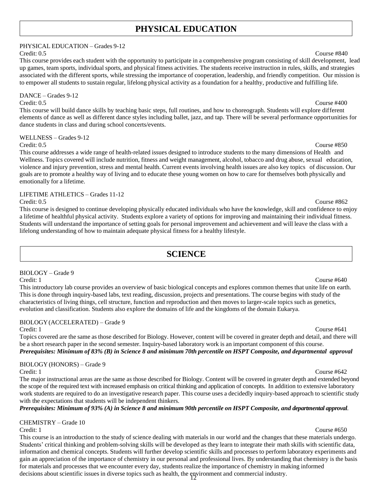## **PHYSICAL EDUCATION**

<span id="page-13-0"></span>PHYSICAL EDUCATION – Grades 9-12

Credit: 0.5 Course #840

This course provides each student with the opportunity to participate in a comprehensive program consisting of skill development, lead up games, team sports, individual sports, and physical fitness activities. The students receive instruction in rules, skills, and strategies associated with the different sports, while stressing the importance of cooperation, leadership, and friendly competition. Our mission is to empower all students to sustain regular, lifelong physical activity as a foundation for a healthy, productive and fulfilling life.

DANCE – Grades 9-12 Credit: 0.5 Course #400

This course will build dance skills by teaching basic steps, full routines, and how to choreograph. Students will explore different elements of dance as well as different dance styles including ballet, jazz, and tap. There will be several performance opportunities for dance students in class and during school concerts/events.

WELLNESS – Grades 9-12

Credit: 0.5 Course #850

This course addresses a wide range of health-related issues designed to introduce students to the many dimensions of Health and Wellness. Topics covered will include nutrition, fitness and weight management, alcohol, tobacco and drug abuse, sexual education, violence and injury prevention, stress and mental health. Current events involving health issues are also key topics of discussion. Our goals are to promote a healthy way of living and to educate these young women on how to care for themselves both physically and emotionally for a lifetime.

### LIFETIME ATHLETICS – Grades 11-12 Credit: 0.5 Course #862

This course is designed to continue developing physically educated individuals who have the knowledge, skill and confidence to enjoy a lifetime of healthful physical activity. Students explore a variety of options for improving and maintaining their individual fitness. Students will understand the importance of setting goals for personal improvement and achievement and will leave the class with a lifelong understanding of how to maintain adequate physical fitness for a healthy lifestyle.

## **SCIENCE**

### <span id="page-13-1"></span>BIOLOGY – Grade 9

Credit: 1 Course #640 This introductory lab course provides an overview of basic biological concepts and explores common themes that unite life on earth. This is done through inquiry-based labs, text reading, discussion, projects and presentations. The course begins with study of the characteristics of living things, cell structure, function and reproduction and then moves to larger-scale topics such as genetics, evolution and classification. Students also explore the domains of life and the kingdoms of the domain Eukarya.

### BIOLOGY(ACCELERATED) – Grade 9

Credit: 1 Course #641 Topics covered are the same as those described for Biology. However, content will be covered in greater depth and detail, and there will be a short research paper in the second semester. Inquiry-based laboratory work is an important component of this course. Prerequisites: Minimum of 83% (B) in Science 8 and minimum 70th percentile on HSPT Composite, and departmental approval

## BIOLOGY (HONORS) – Grade 9

Credit: 1 Course #642 The major instructional areas are the same as those described for Biology. Content will be covered in greater depth and extended beyond the scope of the required text with increased emphasis on critical thinking and application of concepts. In addition to extensive laboratory work students are required to do an investigative research paper. This course uses a decidedly inquiry-based approach to scientific study with the expectations that students will be independent thinkers.

Prerequisites: Minimum of 93% (A) in Science 8 and minimum 90th percentile on HSPT Composite, and departmental approval.

CHEMISTRY – Grade 10

12 decisions about scientific issues in diverse topics such as health, the environment and commercial industry. Credit: 1 Course #650 This course is an introduction to the study of science dealing with materials in our world and the changes that these materials undergo. Students' critical thinking and problem-solving skills will be developed as they learn to integrate their math skills with scientific data, information and chemical concepts. Students will further develop scientific skills and processes to perform laboratory experiments and gain an appreciation of the importance of chemistry in our personal and professional lives. By understanding that chemistry is the basis for materials and processes that we encounter every day, students realize the importance of chemistry in making informed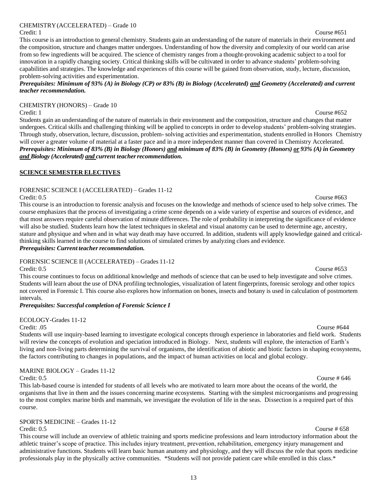### 13

### CHEMISTRY(ACCELERATED) – Grade 10

This course is an introduction to general chemistry. Students gain an understanding of the nature of materials in their environment and the composition, structure and changes matter undergoes. Understanding of how the diversity and complexity of our world can arise from so few ingredients will be acquired. The science of chemistry ranges from a thought-provoking academic subject to a tool for innovation in a rapidly changing society. Critical thinking skills will be cultivated in order to advance students' problem-solving capabilities and strategies. The knowledge and experiences of this course will be gained from observation, study, lecture, discussion, problem-solving activities and experimentation.

Prerequisites: Minimum of 93% (A) in Biology (CP) or 83% (B) in Biology (Accelerated) and Geometry (Accelerated) and current *teacher recommendation.*

### CHEMISTRY (HONORS) – Grade 10

Credit: 1 Course #652 Students gain an understanding of the nature of materials in their environment and the composition, structure and changes that matter undergoes. Critical skills and challenging thinking will be applied to concepts in order to develop students' problem-solving strategies. Through study, observation, lecture, discussion, problem- solving activities and experimentation, students enrolled in Honors Chemistry will cover a greater volume of material at a faster pace and in a more independent manner than covered in Chemistry Accelerated. Prerequisites: Minimum of 83% (B) in Biology (Honors) and minimum of 83% (B) in Geometry (Honors) or 93% (A) in Geometry *and Biology (Accelerated) and current teacherrecommendation.*

### **SCIENCE SEMESTER ELECTIVES**

### FORENSIC SCIENCE I (ACCELERATED) – Grades 11-12

Credit: 0.5 Course #663 This course is an introduction to forensic analysis and focuses on the knowledge and methods of science used to help solve crimes. The course emphasizes that the process of investigating a crime scene depends on a wide variety of expertise and sources of evidence, and that most answers require careful observation of minute differences. The role of probability in interpreting the significance of evidence will also be studied. Students learn how the latest techniques in skeletal and visual anatomy can be used to determine age, ancestry, stature and physique and when and in what way death may have occurred. In addition, students will apply knowledge gained and criticalthinking skills learned in the course to find solutions of simulated crimes by analyzing clues and evidence.

### *Prerequisites: Current <i>teacher recommendation*.

### FORENSIC SCIENCE II (ACCELERATED) – Grades 11-12

Credit: 0.5 Course #653

This course continues to focus on additional knowledge and methods of science that can be used to help investigate and solve crimes. Students will learn about the use of DNA profiling technologies, visualization of latent fingerprints, forensic serology and other topics not covered in Forensic I. This course also explores how information on bones, insects and botany is used in calculation of postmortem intervals.

### *Prerequisites: Successful completion of Forensic Science I*

ECOLOGY-Grades 11-12

### Credit: .05 Course #644

Students will use inquiry-based learning to investigate ecological concepts through experience in laboratories and field work. Students will review the concepts of evolution and speciation introduced in Biology. Next, students will explore, the interaction of Earth's living and non-living parts determining the survival of organisms, the identification of abiotic and biotic factors in shaping ecosystems, the factors contributing to changes in populations, and the impact of human activities on local and global ecology.

### MARINE BIOLOGY – Grades 11-12

Credit: 0.5 Course # 646 This lab-based course is intended for students of all levels who are motivated to learn more about the oceans of the world, the organisms that live in them and the issues concerning marine ecosystems. Starting with the simplest microorganisms and progressing to the most complex marine birds and mammals, we investigate the evolution of life in the seas. Dissection is a required part of this course.

### SPORTS MEDICINE – Grades 11-12

Credit: 0.5 Course # 658 This course will include an overview of athletic training and sports medicine professions and learn introductory information about the athletic trainer's scope of practice. This includes injury treatment, prevention, rehabilitation, emergency injury management and administrative functions. Students will learn basic human anatomy and physiology, and they will discuss the role that sports medicine professionals play in the physically active communities. \*Students will not provide patient care while enrolled in this class.\*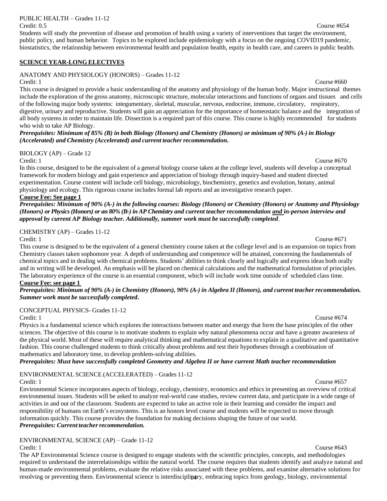PUBLIC HEALTH – Grades 11-12

Students will study the prevention of disease and promotion of health using a variety of interventions that target the environment, public policy, and human behavior. Topics to be explored include epidemiology with a focus on the ongoing COVID19 pandemic, biostatistics, the relationship between environmental health and population health, equity in health care, and careers in public health.

### **SCIENCE YEAR-LONG ELECTIVES**

### ANATOMY AND PHYSIOLOGY (HONORS) – Grades 11-12

Credit: 1 Course #660 This course is designed to provide a basic understanding of the anatomy and physiology of the human body. Major instructional themes include the exploration of the gross anatomy, microscopic structure, molecular interactions and functions of organs and tissues and cells of the following major body systems: integumentary, skeletal, muscular, nervous, endocrine, immune, circulatory, respiratory, digestive, urinary and reproductive. Students will gain an appreciation for the importance of homeostatic balance and the integration of all body systems in order to maintain life. Dissection is a required part of this course. This course is highly recommended for students who wish to take AP Biology.

Prerequisites: Minimum of 85% (B) in both Biology (Honors) and Chemistry (Honors) or minimum of 90% (A-) in Biology *(Accelerated) and Chemistry (Accelerated) and current teacher recommendation.*

BIOLOGY (AP) – Grade 12

Credit: 1 Course #670 In this course, designed to be the equivalent of a general biology course taken at the college level, students will develop a conceptual framework for modern biology and gain experience and appreciation of biology through inquiry-based and student directed experimentation. Course content will include cell biology, microbiology, biochemistry, genetics and evolution, botany, animal physiology and ecology. This rigorous course includes formal lab reports and an investigative research paper.

### **Course Fee: See page 1**

*Prerequisites: Minimum of 90% (A-) in the following courses: Biology (Honors) or Chemistry (Honors) or Anatomy and Physiology (Honors) or Physics (Honors) or an 80% (B-) in AP Chemistry and current teacher recommendation and in-person interview and approval by current AP Biology teacher. Additionally, summer work must be successfully completed*.

### CHEMISTRY (AP) – Grades 11-12

Credit: 1 Course #671 This course is designed to be the equivalent of a general chemistry course taken at the college level and is an expansion on topics from Chemistry classes taken sophomore year. A depth of understanding and competence will be attained, concerning the fundamentals of chemical topics and in dealing with chemical problems. Students' abilities to think clearly and logically and express ideas both orally and in writing will be developed. An emphasis will be placed on chemical calculations and the mathematical formulation of principles. The laboratory experience of the course is an essential component, which will include work time outside of scheduled class time. **Course Fee: see page 1**

### *Prerequisites: Minimum of 90% (A-) in Chemistry (Honors), 90% (A-) in Algebra II (Honors), and current teacher recommendation. Summer work must be successfully completed***.**

### CONCEPTUAL PHYSICS- Grades 11-12

Credit: 1 Course #674

Physics is a fundamental science which explores the interactions between matter and energy that form the base principles of the other sciences. The objective of this course is to motivate students to explain why natural phenomena occur and have a greater awareness of the physical world. Most of these will require analytical thinking and mathematical equations to explain in a qualitative and quantitative fashion. This course challenged students to think critically about problems and test their hypotheses through a combination of mathematics and laboratory time, to develop problem-solving abilities.

*Prerequisites: Must have successfully completed Geometry and Algebra II or have current Math teacher recommendation*

### ENVIRONMENTAL SCIENCE (ACCELERATED) – Grades 11-12

Credit: 1 Course #657 Environmental Science incorporates aspects of biology, ecology, chemistry, economics and ethics in presenting an overview of critical environmental issues. Students will be asked to analyze real-world case studies, review current data, and participate in a wide range of activities in and out of the classroom. Students are expected to take an active role in their learning and consider the impact and responsibility of humans on Earth's ecosystems. This is an honors level course and students will be expected to move through information quickly. This course provides the foundation for making decisions shaping the future of our world. *Prerequisites: Current <i>teacher recommendation*.

### ENVIRONMENTAL SCIENCE (AP) – Grade 11-12

resolving or preventing them. Environmental science is interdisciplinary, embracing topics from geology, biology, environmental Credit: 1 Course #643 The AP Environmental Science course is designed to engage students with the scientific principles, concepts, and methodologies required to understand the interrelationships within the natural world. The course requires that students identify and analyze natural and human-made environmental problems, evaluate the relative risks associated with these problems, and examine alternative solutions for

### Credit: 0.5 Course #654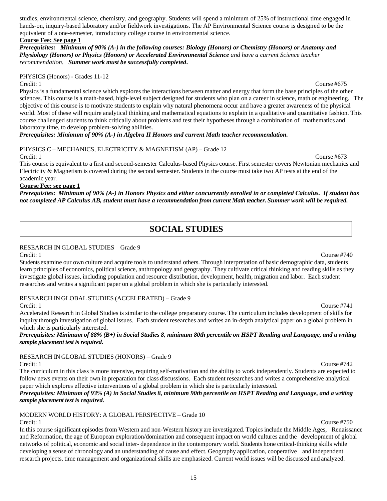studies, environmental science, chemistry, and geography. Students will spend a minimum of 25% of instructional time engaged in hands-on, inquiry-based laboratory and/or fieldwork investigations. The AP Environmental Science course is designed to be the equivalent of a one-semester, introductory college course in environmental science.

### **Course Fee: See page 1**

*Prerequisites: Minimum of 90% (A-) in the following courses: Biology (Honors) or Chemistry (Honors) or Anatomy and Physiology (Honors) or Physics (Honors) or Accelerated Environmental Science and have a current Science teacher recommendation. Summer work must be successfully completed***.**

PHYSICS (Honors) - Grades 11-12

Credit: 1 Course #675 Physics is a fundamental science which explores the interactions between matter and energy that form the base principles of the other sciences. This course is a math-based, high-level subject designed for students who plan on a career in science, math or engineering. The objective of this course is to motivate students to explain why natural phenomena occur and have a greater awareness of the physical world. Most of these will require analytical thinking and mathematical equations to explain in a qualitative and quantitative fashion. This course challenged students to think critically about problems and test their hypotheses through a combination of mathematics and laboratory time, to develop problem-solving abilities.

*Prerequisites: Minimum of 90% (A-) in Algebra II Honors and current Math teacher recommendation.*

PHYSICS C – MECHANICS, ELECTRICITY & MAGNETISM (AP) – Grade 12

Credit: 1 Course #673 This course is equivalent to a first and second-semester Calculus-based Physics course. First semester covers Newtonian mechanics and Electricity & Magnetism is covered during the second semester. Students in the course must take two AP tests at the end of the academic year.

### **Course Fee: see page 1**

<span id="page-16-0"></span>*Prerequisites: Minimum of 90% (A-) in Honors Physics and either concurrently enrolled in or completed Calculus. If student has not completed AP Calculus AB, student must have a recommendation from current Math teacher. Summer work will be required.*

## **SOCIAL STUDIES**

### RESEARCH IN GLOBAL STUDIES – Grade 9

Credit: 1 Course #740 Students examine our own culture and acquire tools to understand others. Through interpretation of basic demographic data, students learn principles of economics, political science, anthropology and geography. They cultivate critical thinking and reading skills as they investigate global issues, including population and resource distribution, development, health, migration and labor. Each student researches and writes a significant paper on a global problem in which she is particularly interested.

RESEARCH IN GLOBAL STUDIES (ACCELERATED) – Grade 9

Credit: 1 Course #741 Accelerated Research in Global Studies is similar to the college preparatory course. The curriculum includes development of skills for inquiry through investigation of global issues. Each student researches and writes an in-depth analytical paper on a global problem in which she is particularly interested.

Prerequisites: Minimum of 88% (B+) in Social Studies 8, minimum 80th percentile on HSPT Reading and Language, and a writing *sample placement test is required.*

RESEARCH IN GLOBAL STUDIES (HONORS) – Grade 9

The curriculum in this class is more intensive, requiring self-motivation and the ability to work independently. Students are expected to follow news events on their own in preparation for class discussions. Each student researches and writes a comprehensive analytical paper which explores effective interventions of a global problem in which she is particularly interested.

Prerequisites: Minimum of 93% (A) in Social Studies 8, minimum 90th percentile on HSPT Reading and Language, and a writing *sample placement test is required.*

MODERN WORLD HISTORY: A GLOBAL PERSPECTIVE – Grade 10 Credit: 1 Course #750

In this course significant episodes from Western and non-Western history are investigated. Topics include the Middle Ages, Renaissance and Reformation, the age of European exploration/domination and consequent impact on world cultures and the development of global networks of political, economic and social inter- dependence in the contemporary world. Students hone critical-thinking skills while developing a sense of chronology and an understanding of cause and effect. Geography application, cooperative and independent research projects, time management and organizational skills are emphasized. Current world issues will be discussed and analyzed.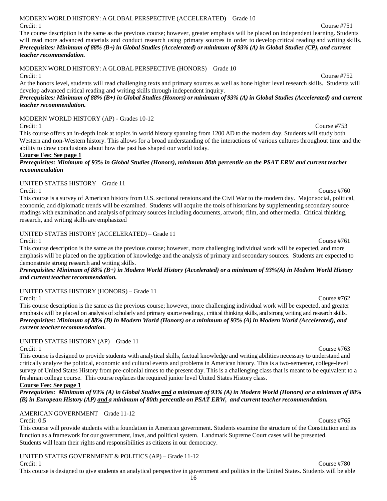### 16

### MODERN WORLD HISTORY: A GLOBAL PERSPECTIVE (ACCELERATED) – Grade 10 Credit: 1 Course #751

The course description is the same as the previous course; however, greater emphasis will be placed on independent learning. Students will read more advanced materials and conduct research using primary sources in order to develop critical reading and writing skills. Prerequisites: Minimum of 88% (B+) in Global Studies (Accelerated) or minimum of 93% (A) in Global Studies (CP), and current *teacher recommendation.*

### MODERN WORLD HISTORY: A GLOBAL PERSPECTIVE (HONORS) – Grade 10 Credit: 1 Course #752

At the honors level, students will read challenging texts and primary sources as well as hone higher level research skills. Students will develop advanced critical reading and writing skills through independent inquiry.

Prerequisites: Minimum of 88% (B+) in Global Studies (Honors) or minimum of 93% (A) in Global Studies (Accelerated) and current *teacher recommendation.*

MODERN WORLD HISTORY (AP) - Grades 10-12

Credit: 1 Course #753 This course offers an in-depth look at topics in world history spanning from 1200 AD to the modern day. Students will study both Western and non-Western history. This allows for a broad understanding of the interactions of various cultures throughout time and the ability to draw conclusions about how the past has shaped our world today.

### **Course Fee: See page 1**

### *Prerequisites: Minimum of 93% in Global Studies (Honors), minimum 80th percentile on the PSAT ERW and current teacher recommendation*

### UNITED STATES HISTORY – Grade 11

Credit: 1 Course #760 This course is a survey of American history from U.S. sectional tensions and the Civil War to the modern day. Major social, political, economic, and diplomatic trends will be examined. Students will acquire the tools of historians by supplementing secondary source readings with examination and analysis of primary sources including documents, artwork, film, and other media. Critical thinking, research, and writing skills are emphasized

### UNITED STATES HISTORY (ACCELERATED) – Grade 11

This course description is the same as the previous course; however, more challenging individual work will be expected, and more emphasis will be placed on the application of knowledge and the analysis of primary and secondary sources. Students are expected to demonstrate strong research and writing skills.

Prerequisites: Minimum of 88% (B+) in Modern World History (Accelerated) or a minimum of 93%(A) in Modern World History *and current teacherrecommendation.*

## UNITED STATES HISTORY (HONORS) – Grade 11

Credit: 1 Course #762 This course description is the same as the previous course; however, more challenging individual work will be expected, and greater emphasis will be placed on analysis of scholarly and primary source readings , critical thinking skills, and strong writing and research skills. Prerequisites: Minimum of 88% (B) in Modern World (Honors) or a minimum of 93% (A) in Modern World (Accelerated), and *current teacherrecommendation.*

## UNITED STATES HISTORY (AP) – Grade 11

Credit: 1 Course #763 This course is designed to provide students with analytical skills, factual knowledge and writing abilities necessary to understand and critically analyze the political, economic and cultural events and problems in American history. This is a two-semester, college-level survey of United States History from pre-colonial times to the present day. This is a challenging class that is meant to be equivalent to a freshman college course. This course replaces the required junior level United States History class.

### **Course Fee: See page 1**

Prerequisites: Minimum of 93% (A) in Global Studies and a minimum of 93% (A) in Modern World (Honors) or a minimum of 88% *(B) in European History (AP) and a minimum of 80th percentile on PSAT ERW, and current teacher recommendation.*

### AMERICAN GOVERNMENT – Grade 11-12 Credit: 0.5 Course #765

This course will provide students with a foundation in American government. Students examine the structure of the Constitution and its function as a framework for our government, laws, and political system. Landmark Supreme Court cases will be presented. Students will learn their rights and responsibilities as citizens in our democracy.

### UNITED STATES GOVERNMENT & POLITICS (AP) – Grade 11-12 Credit: 1 Course #780

This course is designed to give students an analytical perspective in government and politics in the United States. Students will be able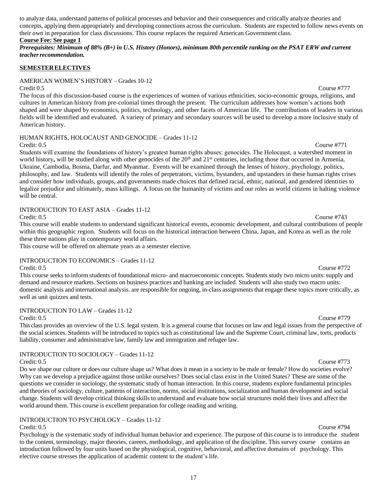to analyze data, understand patterns of political processes and behavior and their consequences and critically analyze theories and concepts, applying them appropriately and developing connections across the curriculum. Students are expected to follow news events on their own in preparation for class discussions. This course replaces the required American Government class.

### **Course Fee: See page 1**

Prerequisites: Minimum of 88% (B+) in U.S. History (Honors), minimum 80th percentile ranking on the PSAT ERW and current *teacherrecommendation.*

### **SEMESTERELECTIVES**

### AMERICAN WOMEN'S HISTORY – Grades 10-12

Credit 0.5 Course #777

The focus of this discussion-based course is the experiences of women of various ethnicities, socio-economic groups, religions, and cultures in American history from pre-colonial times through the present. The curriculum addresses how women's actions both shaped and were shaped by economics, politics, technology, and other facets of American life. The contributions of leaders in various fields will be identified and evaluated. A variety of primary and secondary sources will be used to develop a more inclusive study of American history.

### HUMAN RIGHTS, HOLOCAUST AND GENOCIDE – Grades 11-12

Credit: 0.5 Course #771 Students will examine the foundations of history's greatest human rights abuses: genocides. The Holocaust, a watershed moment in world history, will be studied along with other genocides of the 20<sup>th</sup> and 21<sup>st</sup> centuries, including those that occurred in Armenia, Ukraine, Cambodia, Bosnia, Darfur, and Myanmar. Events will be examined through the lenses of history, psychology, politics, philosophy, and law. Students will identify the roles of perpetrators, victims, bystanders, and upstanders in these human rights crises and consider how individuals, groups, and governments made choices that defined racial, ethnic, national, and gendered identities to legalize prejudice and ultimately, mass killings. A focus on the humanity of victims and our roles as world citizens in halting violence will be central.

### INTRODUCTION TO EAST ASIA – Grades 11-12

This course will enable students to understand significant historical events, economic development, and cultural contributions of people within this geographic region. Students will focus on the historical interaction between China, Japan, and Korea as well as the role these three nations play in contemporary world affairs.

This course will be offered on alternate years as a semester elective.

### INTRODUCTION TO ECONOMICS – Grades 11-12

This course seeks to inform students of foundational micro- and macroeconomic concepts. Students study two micro units: supply and demand and resource markets. Sections on business practices and banking are included. Students will also study two macro units: domestic analysis and international analysis. are responsible for ongoing, in-class assignments that engage these topics more critically, as well as unit quizzes and tests.

### INTRODUCTION TO LAW – Grades 11-12

Credit: 0.5 Course #779

This class provides an overview of the U.S. legal system. It is a general course that focuses on law and legal issues from the perspective of the social sciences. Students will be introduced to topics such as constitutional law and the Supreme Court, criminal law, torts, products liability, consumer and administrative law, family law and immigration and refugee law.

### INTRODUCTION TO SOCIOLOGY – Grades 11-12

Do we shape our culture or does our culture shape us? What does it mean in a society to be male or female? How do societies evolve? Why can we develop a prejudice against those unlike ourselves? Does social class exist in the United States? These are some of the questions we consider in sociology, the systematic study of human interaction. In this course, students explore fundamental principles and theories of sociology, culture, patterns of interaction, norms, social institutions, socialization and human development and social change. Students will develop critical thinking skills to understand and evaluate how social structures mold their lives and affect the world around them. This course is excellent preparation for college reading and writing.

### INTRODUCTION TO PSYCHOLOGY – Grades 11-12

Credit: 0.5 Course #794 Psychology is the systematic study of individual human behavior and experience. The purpose of this course is to introduce the student to the content, terminology, major theories, careers, methodology, and application of the discipline. This survey course contains an introduction followed by four units based on the physiological, cognitive, behavioral, and affective domains of psychology. This elective course stresses the application of academic content to the student's life.

### Credit: 0.5 Course #743

### Credit: 0.5 Course #772

### Credit: 0.5 Course #773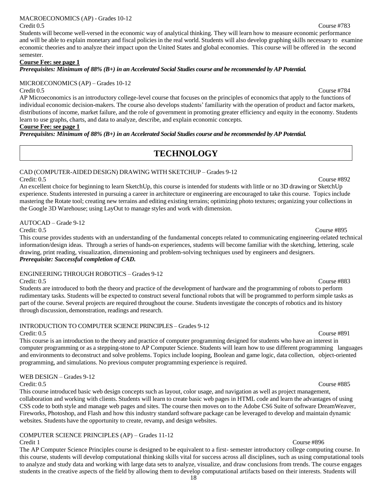### MACROECONOMICS (AP) - Grades 10-12

Students will become well-versed in the economic way of analytical thinking. They will learn how to measure economic performance and will be able to explain monetary and fiscal policies in the real world. Students will also develop graphing skills necessary to examine economic theories and to analyze their impact upon the United States and global economies. This course will be offered in the second semester.

### **Course Fee: see page 1**

*Prerequisites: Minimum of 88% (B+) in an Accelerated Social Studies course and be recommended by AP Potential.*

### MICROECONOMICS (AP) – Grades 10-12

AP Microeconomics is an introductory college-level course that focuses on the principles of economics that apply to the functions of individual economic decision-makers. The course also develops students' familiarity with the operation of product and factor markets, distributions of income, market failure, and the role of government in promoting greater efficiency and equity in the economy. Students learn to use graphs, charts, and data to analyze, describe, and explain economic concepts.

### **Course Fee: see page 1**

<span id="page-19-0"></span>*Prerequisites: Minimum of 88% (B+) in an Accelerated Social Studies course and be recommended by AP Potential.*

## **TECHNOLOGY**

### CAD (COMPUTER-AIDED DESIGN) DRAWING WITH SKETCHUP – Grades 9-12 Credit: 0.5 Course #892

An excellent choice for beginning to learn SketchUp, this course is intended for students with little or no 3D drawing or SketchUp experience. Students interested in pursuing a career in architecture or engineering are encouraged to take this course. Topics include mastering the Rotate tool; creating new terrains and editing existing terrains; optimizing photo textures; organizing your collections in the Google 3D Warehouse; using LayOut to manage styles and work with dimension.

AUTOCAD – Grade 9-12

Credit: 0.5 Course #895 This course provides students with an understanding of the fundamental concepts related to communicating engineering-related technical information/design ideas. Through a series of hands-on experiences, students will become familiar with the sketching, lettering, scale drawing, print reading, visualization, dimensioning and problem-solving techniques used by engineers and designers. *Prerequisite: Successful completion of CAD.*

### ENGINEERING THROUGH ROBOTICS – Grades 9-12

Credit: 0.5 Course #883 Students are introduced to both the theory and practice of the development of hardware and the programming of robots to perform rudimentary tasks. Students will be expected to construct several functional robots that will be programmed to perform simple tasks as part of the course. Several projects are required throughout the course. Students investigate the concepts of robotics and its history through discussion, demonstration, readings and research.

### INTRODUCTION TO COMPUTER SCIENCE PRINCIPLES – Grades 9-12

### Credit: 0.5 Course #891

This course is an introduction to the theory and practice of computer programming designed for students who have an interest in computer programming or as a stepping-stone to AP Computer Science. Students will learn how to use different programming languages and environments to deconstruct and solve problems. Topics include looping, Boolean and game logic, data collection, object-oriented programming, and simulations. No previous computer programming experience is required.

### WEB DESIGN – Grades 9-12

This course introduced basic web design concepts such as layout, color usage, and navigation as well as project management, collaboration and working with clients. Students will learn to create basic web pages in HTML code and learn the advantages of using CSS code to both style and manage web pages and sites. The course then moves on to the Adobe CS6 Suite of software DreamWeaver, Fireworks, Photoshop, and Flash and how this industry standard software package can be leveraged to develop and maintain dynamic websites. Students have the opportunity to create, revamp, and design websites.

### COMPUTER SCIENCE PRINCIPLES (AP) – Grades 11-12

The AP Computer Science Principles course is designed to be equivalent to a first- semester introductory college computing course. In this course, students will develop computational thinking skills vital for success across all disciplines, such as using computational tools to analyze and study data and working with large data sets to analyze, visualize, and draw conclusions from trends. The course engages students in the creative aspects of the field by allowing them to develop computational artifacts based on their interests. Students will

### Credit 0.5 Course #784

### Credit: 0.5 Course #885

### **Credit 1** Course #896

### Credit 0.5 Course #783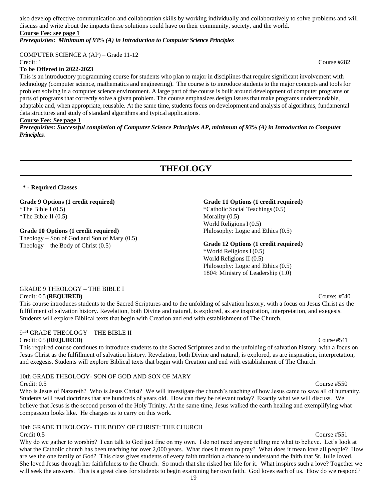also develop effective communication and collaboration skills by working individually and collaboratively to solve problems and will discuss and write about the impacts these solutions could have on their community, society, and the world. **Course Fee: see page 1**

### *Prerequisites: Minimum of 93% (A) in Introduction to Computer Science Principles*

COMPUTER SCIENCE A (AP) – Grade 11-12

### **To be Offered in 2022-2023**

This is an introductory programming course for students who plan to major in disciplines that require significant involvement with technology (computer science, mathematics and engineering). The course is to introduce students to the major concepts and tools for problem solving in a computer science environment. A large part of the course is built around development of computer programs or parts of programs that correctly solve a given problem. The course emphasizes design issues that make programs understandable, adaptable and, when appropriate, reusable. At the same time, students focus on development and analysis of algorithms, fundamental data structures and study of standard algorithms and typical applications.

### **Course Fee: See page 1**

*Prerequisites: Successful completion of Computer Science Principles AP, minimum of 93% (A) in Introduction to Computer Principles.*

## **THEOLOGY**

### **\* - Required Classes**

### **Grade 9 Options (1 credit required)**

\*The Bible I  $(0.5)$ \*The Bible II (0.5)

### **Grade 10 Options (1 credit required)**

Theology – Son of God and Son of Mary  $(0.5)$ Theology – the Body of Christ  $(0.5)$ 

### **Grade 11 Options (1 credit required)**

\*Catholic Social Teachings(0.5) Morality  $(0.5)$ World Religions I (0.5) Philosophy: Logic and Ethics (0.5)

### **Grade 12 Options (1 credit required)**

\*World Religions I (0.5) World Religions II (0.5) Philosophy: Logic and Ethics (0.5) 1804: Ministry of Leadership (1.0)

### GRADE 9 THEOLOGY – THE BIBLE I Credit: 0.5 **(REQUIRED)** Course: #540

This course introduces students to the Sacred Scriptures and to the unfolding of salvation history, with a focus on Jesus Christ as the fulfillment of salvation history. Revelation, both Divine and natural, is explored, as are inspiration, interpretation, and exegesis. Students will explore Biblical texts that begin with Creation and end with establishment of The Church.

### 9 TH GRADE THEOLOGY – THE BIBLE II Credit: 0.5 **(REQUIRED)** Course #541

This required course continues to introduce students to the Sacred Scriptures and to the unfolding of salvation history, with a focus on Jesus Christ as the fulfillment of salvation history. Revelation, both Divine and natural, is explored, as are inspiration, interpretation, and exegesis. Students will explore Biblical texts that begin with Creation and end with establishment of The Church.

10th GRADE THEOLOGY- SON OF GOD AND SON OF MARY

Credit: 0.5 Course #550 Who is Jesus of Nazareth? Who is Jesus Christ? We will investigate the church's teaching of how Jesus came to save all of humanity. Students will read doctrines that are hundreds of years old. How can they be relevant today? Exactly what we will discuss. We believe that Jesus is the second person of the Holy Trinity. At the same time, Jesus walked the earth healing and exemplifying what compassion looks like. He charges us to carry on this work.

## 10th GRADE THEOLOGY- THE BODY OF CHRIST: THE CHURCH

Credit 0.5 Course #551 Why do we gather to worship? I can talk to God just fine on my own. I do not need anyone telling me what to believe. Let's look at what the Catholic church has been teaching for over 2,000 years. What does it mean to pray? What does it mean love all people? How are we the one family of God? This class gives students of every faith tradition a chance to understand the faith that St. Julie loved. She loved Jesus through her faithfulness to the Church. So much that she risked her life for it. What inspires such a love? Together we will seek the answers. This is a great class for students to begin examining her own faith. God loves each of us. How do we respond?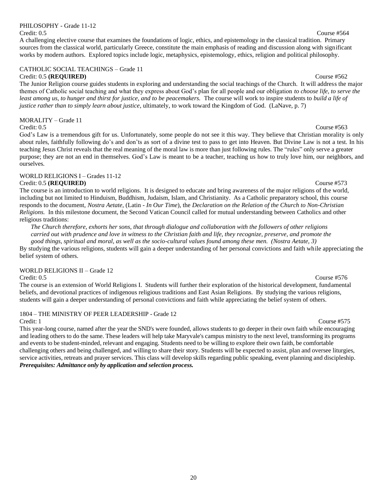## PHILOSOPHY - Grade 11-12

Credit: 0.5 Course #564 A challenging elective course that examines the foundations of logic, ethics, and epistemology in the classical tradition. Primary sources from the classical world, particularly Greece, constitute the main emphasis of reading and discussion along with significant works by modern authors. Explored topics include logic, metaphysics, epistemology, ethics, religion and political philosophy.

### CATHOLIC SOCIAL TEACHINGS – Grade 11 Credit: 0.5 **(REQUIRED)** Course #562

The Junior Religion course guides students in exploring and understanding the social teachings of the Church. It will address the major themes of Catholic social teaching and what they express about God's plan for all people and our obligation *to choose life, to serve the least among us, to hunger and thirst for justice, and to be peacemakers.* The course will work to inspire students to *build a life of justice rather than to simply learn about justice*, ultimately, to work toward the Kingdom of God*.* (LaNave, p. 7)

### MORALITY – Grade 11

Credit: 0.5 Course #563

God's Law is a tremendous gift for us. Unfortunately, some people do not see it this way. They believe that Christian morality is only about rules, faithfully following do's and don'ts as sort of a divine test to pass to get into Heaven. But Divine Law is not a test. In his teaching Jesus Christ reveals that the real meaning of the moral law is more than just following rules. The "rules" only serve a greater purpose; they are not an end in themselves. God's Law is meant to be a teacher, teaching us how to truly love him, our neighbors, and ourselves.

### WORLD RELIGIONS I – Grades 11-12 Credit: 0.5 **(REQUIRED)** Course #573

The course is an introduction to world religions. It is designed to educate and bring awareness of the major religions of the world, including but not limited to Hinduism, Buddhism, Judaism, Islam, and Christianity. As a Catholic preparatory school, this course responds to the document, *Nostra Aetate,* (Latin - *In Our Time*), the *Declaration on the Relation of the Church to Non-Christian Religions.* In this milestone document, the Second Vatican Council called for mutual understanding between Catholics and other religious traditions:

*The Church therefore, exhorts her sons, that through dialogue and collaboration with the followers of other religions carried out with prudence and love in witness to the Christian faith and life, they recognize, preserve, and promote the good things, spiritual and moral, as well as the socio-cultural values found among these men. (Nostra Aetate, 3)*

By studying the various religions, students will gain a deeper understanding of her personal convictions and faith while appreciating the belief system of others.

### WORLD RELIGIONS II – Grade 12

The course is an extension of World Religions I. Students will further their exploration of the historical development, fundamental beliefs, and devotional practices of indigenous religious traditions and East Asian Religions. By studying the various religions, students will gain a deeper understanding of personal convictions and faith while appreciating the belief system of others.

### 1804 – THE MINISTRY OF PEER LEADERSHIP - Grade 12

This year-long course, named after the year the SND's were founded, allows students to go deeper in their own faith while encouraging and leading others to do the same. These leaders will help take Maryvale's campus ministry to the next level, transforming its programs and events to be student-minded, relevant and engaging. Students need to be willing to explore their own faith, be comfortable challenging others and being challenged, and willing to share their story. Students will be expected to assist, plan and oversee liturgies, service activities, retreats and prayer services. This class will develop skills regarding public speaking, event planning and discipleship. *Prerequisites: Admittance only by application and selection process.*

### Credit: 1 Course #575

### Credit: 0.5 Course #576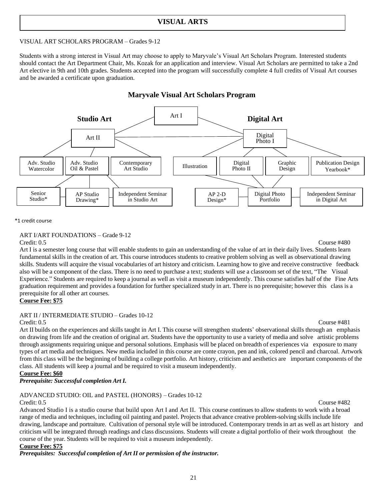### **VISUAL ARTS**

### VISUAL ART SCHOLARS PROGRAM – Grades 9-12

Students with a strong interest in Visual Art may choose to apply to Maryvale's Visual Art Scholars Program. Interested students should contact the Art Department Chair, Ms. Kozak for an application and interview. Visual Art Scholars are permitted to take a 2nd Art elective in 9th and 10th grades. Students accepted into the program will successfully complete 4 full credits of Visual Art courses and be awarded a certificate upon graduation.

### **Maryvale Visual Art Scholars Program**



\*1 credit course

### ART I/ART FOUNDATIONS – Grade 9-12

Credit: 0.5 Course #480

Art I is a semester long course that will enable students to gain an understanding of the value of art in their daily lives. Students learn fundamental skills in the creation of art. This course introduces students to creative problem solving as well as observational drawing skills. Students will acquire the visual vocabularies of art history and criticism. Learning how to give and receive constructive feedback also will be a component of the class. There is no need to purchase a text; students will use a classroom set of the text, "The Visual Experience." Students are required to keep a journal as well as visit a museum independently. This course satisfies half of the Fine Arts graduation requirement and provides a foundation for further specialized study in art. There is no prerequisite; however this class is a prerequisite for all other art courses.

### **Course Fee: \$75**

### ART II / INTERMEDIATE STUDIO – Grades 10-12

### Credit: 0.5 Course #481

Art II builds on the experiences and skills taught in Art I. This course will strengthen students' observational skills through an emphasis on drawing from life and the creation of original art. Students have the opportunity to use a variety of media and solve artistic problems through assignments requiring unique and personal solutions. Emphasis will be placed on breadth of experiences via exposure to many types of art media and techniques. New media included in this course are conte crayon, pen and ink, colored pencil and charcoal. Artwork from this class will be the beginning of building a college portfolio. Art history, criticism and aesthetics are important components of the class. All students will keep a journal and be required to visit a museum independently.

**Course Fee: \$60**

### *Prerequisite: Successful completion Art I.*

### ADVANCED STUDIO: OIL and PASTEL (HONORS) – Grades 10-12 Credit: 0.5 Course #482

Advanced Studio I is a studio course that build upon Art I and Art II. This course continues to allow students to work with a broad range of media and techniques, including oil painting and pastel. Projects that advance creative problem-solving skills include life drawing, landscape and portraiture. Cultivation of personal style will be introduced. Contemporary trends in art as well as art history and criticism will be integrated through readings and class discussions. Students will create a digital portfolio of their work throughout the course of the year. Students will be required to visit a museum independently.

### **Course Fee: \$75**

*Prerequisites: Successful completion of Art II or permission of the instructor.*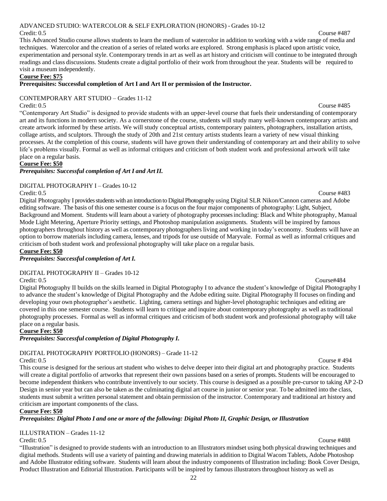### 22

### ADVANCED STUDIO: WATERCOLOR & SELF EXPLORATION (HONORS) - Grades 10-12 Credit: 0.5 Course #487

This Advanced Studio course allows students to learn the medium of watercolor in addition to working with a wide range of media and techniques. Watercolor and the creation of a series of related works are explored. Strong emphasis is placed upon artistic voice, experimentation and personal style. Contemporary trends in art as well as art history and criticism will continue to be integrated through readings and class discussions. Students create a digital portfolio of their work from throughout the year. Students will be required to visit a museum independently.

### **Course Fee: \$75**

### **Prerequisites: Successful completion of Art I and Art II or permission of the Instructor.**

### CONTEMPORARY ART STUDIO – Grades 11-12

Credit: 0.5 Course #485 "Contemporary Art Studio" is designed to provide students with an upper-level course that fuels their understanding of contemporary art and its functions in modern society. As a cornerstone of the course, students will study many well-known contemporary artists and create artwork informed by these artists. We will study conceptual artists, contemporary painters, photographers, installation artists, collage artists, and sculptors. Through the study of 20th and 21st century artists students learn a variety of new visual thinking processes. At the completion of this course, students will have grown their understanding of contemporary art and their ability to solve life's problems visually. Formal as well as informal critiques and criticism of both student work and professional artwork will take place on a regular basis.

### **Course Fee: \$50**

### *Prerequisites: Successful completion of Art I and Art II.*

### DIGITAL PHOTOGRAPHY I – Grades 10-12

Credit: 0.5 Course #483

Digital Photography I provides students with an introduction to Digital Photography using Digital SLR Nikon/Cannon cameras and Adobe editing software. The basis of this one semester course is a focus on the four major components of photography: Light, Subject, Background and Moment. Students will learn about a variety of photography processesincluding: Black and White photography, Manual Mode Light Metering, Aperture Priority settings, and Photoshop manipulation assignments. Students will be inspired by famous photographers throughout history as well as contemporary photographers living and working in today's economy. Students will have an option to borrow materials including camera, lenses, and tripods for use outside of Maryvale. Formal as well as informal critiques and criticism of both student work and professional photography will take place on a regular basis.

**Course Fee: \$50**

### *Prerequisites: Successful completion of Art I.*

### DIGITAL PHOTOGRAPHY II – Grades 10-12

Credit: 0.5 Course#484 Digital Photography II builds on the skills learned in Digital Photography I to advance the student's knowledge of Digital Photography I to advance the student's knowledge of Digital Photography and the Adobe editing suite. Digital Photography II focuses on finding and developing your own photographer's aesthetic. Lighting, camera settings and higher-level photographic techniques and editing are covered in this one semester course. Students will learn to critique and inquire about contemporary photography as well as traditional photography processes. Formal as well as informal critiques and criticism of both student work and professional photography will take place on a regular basis.

**Course Fee: \$50**

## *Prerequisites: Successful completion of Digital Photography I.*

## DIGITAL PHOTOGRAPHY PORTFOLIO (HONORS) – Grade 11-12

Credit: 0.5 Course # 494 This course is designed for the serious art student who wishes to delve deeper into their digital art and photography practice. Students will create a digital portfolio of artworks that represent their own passions based on a series of prompts. Students will be encouraged to become independent thinkers who contribute inventively to our society. This course is designed as a possible pre-cursor to taking AP 2-D Design in senior year but can also be taken as the culminating digital art course in junior or senior year. To be admitted into the class, students must submit a written personal statement and obtain permission of the instructor. Contemporary and traditional art history and criticism are important components of the class.

### **Course Fee: \$50**

## Prerequisites: Digital Photo I and one or more of the following: Digital Photo II, Graphic Design, or Illustration

## ILLUSTRATION – Grades 11-12

Credit: 0.5 Course #488 "Illustration" is designed to provide students with an introduction to an Illustrators mindset using both physical drawing techniques and digital methods. Students will use a variety of painting and drawing materials in addition to Digital Wacom Tablets, Adobe Photoshop and Adobe Illustrator editing software. Students will learn about the industry components of Illustration including: Book Cover Design, Product Illustration and Editorial Illustration. Participants will be inspired by famous illustrators throughout history as well as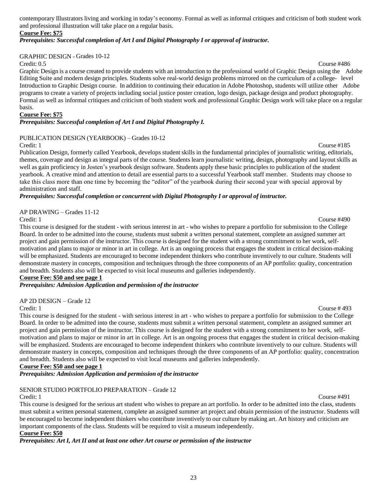contemporary Illustrators living and working in today's economy. Formal as well as informal critiques and criticism of both student work and professional illustration will take place on a regular basis.

### **Course Fee: \$75**

### *Prerequisites: Successful completion of Art I and Digital Photography I or approval of instructor.*

### GRAPHIC DESIGN - Grades 10-12

Credit: 0.5 Course #486 Graphic Design is a course created to provide students with an introduction to the professional world of Graphic Design using the Adobe Editing Suite and modern design principles. Students solve real-world design problems mirrored on the curriculum of a college- level Introduction to Graphic Design course. In addition to continuing their education in Adobe Photoshop, students will utilize other Adobe programs to create a variety of projects including social justice poster creation, logo design, package design and product photography. Formal as well as informal critiques and criticism of both student work and professional Graphic Design work will take place on a regular basis.

### **Course Fee: \$75**

### *Prerequisites: Successful completion of Art I and Digital Photography I.*

### PUBLICATION DESIGN (YEARBOOK) – Grades 10-12

Credit: 1 Course #185 Publication Design, formerly called Yearbook, develops student skills in the fundamental principles of journalistic writing, editorials, themes, coverage and design as integral parts of the course. Students learn journalistic writing, design, photography and layout skills as well as gain proficiency in Josten's yearbook design software. Students apply these basic principles to publication of the student yearbook. A creative mind and attention to detail are essential parts to a successful Yearbook staff member. Students may choose to take this class more than one time by becoming the "editor" of the yearbook during their second year with special approval by administration and staff.

### *Prerequisites: Successful completion or concurrent with Digital Photography I or approval of instructor.*

## AP DRAWING – Grades 11-12

Credit: 1 Course #490 This course is designed for the student - with serious interest in art - who wishes to prepare a portfolio for submission to the College Board. In order to be admitted into the course, students must submit a written personal statement, complete an assigned summer art project and gain permission of the instructor. This course is designed for the student with a strong commitment to her work, selfmotivation and plans to major or minor in art in college. Art is an ongoing process that engages the student in critical decision-making will be emphasized. Students are encouraged to become independent thinkers who contribute inventively to our culture. Students will demonstrate mastery in concepts, composition and techniques through the three components of an AP portfolio: quality, concentration and breadth. Students also will be expected to visit local museums and galleries independently.

### **Course Fee: \$50 and see page 1**

*Prerequisites: Admission Application and permission of the instructor*

AP 2D DESIGN – Grade 12

Credit: 1 Course # 493 This course is designed for the student - with serious interest in art - who wishes to prepare a portfolio for submission to the College Board. In order to be admitted into the course, students must submit a written personal statement, complete an assigned summer art project and gain permission of the instructor. This course is designed for the student with a strong commitment to her work, selfmotivation and plans to major or minor in art in college. Art is an ongoing process that engages the student in critical decision-making will be emphasized. Students are encouraged to become independent thinkers who contribute inventively to our culture. Students will demonstrate mastery in concepts, composition and techniques through the three components of an AP portfolio: quality, concentration and breadth. Students also will be expected to visit local museums and galleries independently.

### **Course Fee: \$50 and see page 1**

*Prerequisites: Admission Application and permission of the instructor*

### SENIOR STUDIO PORTFOLIO PREPARATION – Grade 12

Credit: 1 Course #491 This course is designed for the serious art student who wishes to prepare an art portfolio. In order to be admitted into the class, students must submit a written personal statement, complete an assigned summer art project and obtain permission of the instructor. Students will be encouraged to become independent thinkers who contribute inventively to our culture by making art. Art history and criticism are important components of the class. Students will be required to visit a museum independently.

### **Course Fee: \$50**

*Prerequisites: Art I, Art II and at least one other Art course or permission of the instructor*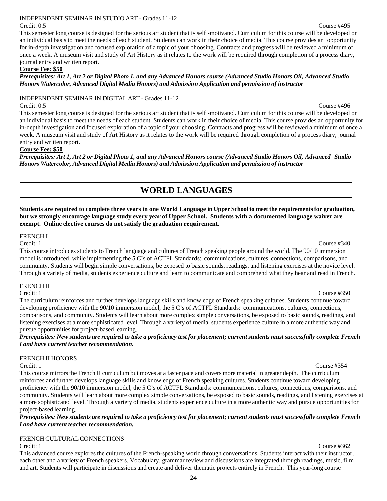### INDEPENDENT SEMINAR IN STUDIO ART - Grades 11-12

Credit: 0.5 Course #495 This semester long course is designed for the serious art student that is self -motivated. Curriculum for this course will be developed on an individual basis to meet the needs of each student. Students can work in their choice of media. This course provides an opportunity for in-depth investigation and focused exploration of a topic of your choosing. Contracts and progress will be reviewed a minimum of once a week. A museum visit and study of Art History as it relates to the work will be required through completion of a process diary, journal entry and written report.

### **Course Fee: \$50**

### Prerequisites: Art 1, Art 2 or Digital Photo 1, and any Advanced Honors course (Advanced Studio Honors Oil, Advanced Studio *Honors Watercolor, Advanced Digital Media Honors) and Admission Application and permission of instructor*

### INDEPENDENT SEMINAR IN DIGITAL ART - Grades 11-12

Credit: 0.5 Course #496 This semester long course is designed for the serious art student that is self -motivated. Curriculum for this course will be developed on an individual basis to meet the needs of each student. Students can work in their choice of media. This course provides an opportunity for in-depth investigation and focused exploration of a topic of your choosing. Contracts and progress will be reviewed a minimum of once a week. A museum visit and study of Art History as it relates to the work will be required through completion of a process diary, journal entry and written report.

### **Course Fee: \$50**

<span id="page-25-0"></span>Prerequisites: Art 1, Art 2 or Digital Photo 1, and any Advanced Honors course (Advanced Studio Honors Oil, Advanced Studio *Honors Watercolor, Advanced Digital Media Honors) and Admission Application and permission of instructor*

## **WORLD LANGUAGES**

Students are required to complete three years in one World Language in Upper School to meet the requirements for graduation, **but we strongly encourage language study every year of Upper School. Students with a documented language waiver are exempt. Online elective courses do not satisfy the graduation requirement.**

### FRENCH I

Credit: 1 Course #340 This course introduces students to French language and cultures of French speaking people around the world. The 90/10 immersion model is introduced, while implementing the 5 C's of ACTFL Standards: communications, cultures, connections, comparisons, and community. Students will begin simple conversations, be exposed to basic sounds, readings, and listening exercises at the novice level. Through a variety of media, students experience culture and learn to communicate and comprehend what they hear and read in French.

## FRENCH II<br>Credit: 1

Credit: 1 Course #350

The curriculum reinforces and further develops language skills and knowledge of French speaking cultures. Students continue toward developing proficiency with the 90/10 immersion model, the 5 C's of ACTFL Standards: communications, cultures, connections, comparisons, and community. Students will learn about more complex simple conversations, be exposed to basic sounds, readings, and listening exercises at a more sophisticated level. Through a variety of media, students experience culture in a more authentic way and pursue opportunities for project-based learning.

Prerequisites: New students are required to take a proficiency test for placement; current students must successfully complete French *I and have current teacher recommendation.*

### FRENCH II HONORS

### Credit: 1 Course #354

This course mirrorsthe French II curriculum but moves at a faster pace and covers more material in greater depth. The curriculum reinforces and further develops language skills and knowledge of French speaking cultures. Students continue toward developing proficiency with the 90/10 immersion model, the 5 C's of ACTFL Standards: communications, cultures, connections, comparisons, and community. Students will learn about more complex simple conversations, be exposed to basic sounds, readings, and listening exercises at a more sophisticated level. Through a variety of media, students experience culture in a more authentic way and pursue opportunitiesfor project-based learning.

Prerequisites: New students are required to take a proficiency test for placement; current students must successfully complete French *I and have current teacher recommendation.*

### FRENCH CULTURAL CONNECTIONS

This advanced course explores the cultures of the French-speaking world through conversations. Students interact with their instructor, each other and a variety of French speakers. Vocabulary, grammar review and discussions are integrated through readings, music, film and art. Students will participate in discussions and create and deliver thematic projects entirely in French. This year-long course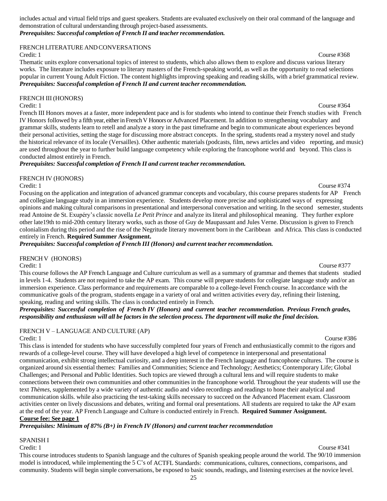includes actual and virtual field trips and guest speakers. Students are evaluated exclusively on their oral command of the language and demonstration of cultural understanding through project-based assessments. *Prerequisites: Successful completion of French II and teacherrecommendation.*

### FRENCH LITERATURE AND CONVERSATIONS

Credit: 1 Course #368

Thematic units explore conversational topics of interest to students, which also allows them to explore and discuss various literary works. The literature includes exposure to literary masters of the French-speaking world, as well as the opportunity to read selections popular in current Young Adult Fiction. The content highlights improving speaking and reading skills, with a brief grammatical review. *Prerequisites: Successful completion of French II and current teacher recommendation.*

FRENCH III (HONORS)

Credit: 1 Course #364 French III Honors moves at a faster, more independent pace and is for students who intend to continue their French studies with French IV Honors followed by a fifth year, eitherin FrenchV Honors or Advanced Placement. In addition to strengthening vocabulary and grammar skills, students learn to retell and analyze a story in the past timeframe and begin to communicate about experiences beyond their personal activities, setting the stage for discussing more abstract concepts. In the spring, students read a mystery novel and study the historical relevance of its locale (Versailles). Other authentic materials (podcasts, film, news articles and video reporting, and music) are used throughout the year to further build language competency while exploring the francophone world and beyond. This class is conducted almost entirely in French.

*Prerequisites: Successful completion of French II and current teacherrecommendation.*

### FRENCH IV (HONORS)

Credit: 1 Course #374

Focusing on the application and integration of advanced grammar concepts and vocabulary, this course prepares students for AP French and collegiate language study in an immersion experience. Students develop more precise and sophisticated ways of expressing opinions and making cultural comparisons in presentational and interpersonal conversation and writing. In the second semester, students read Antoine de St. Exupéry's classic novella *Le Petit Prince* and analyze its literal and philosophical meaning. They further explore other late19th to mid-20th century literary works, such as those of Guy de Maupassant and Jules Verne. Discussion is given to French colonialism during this period and the rise of the Negritude literary movement born in the Caribbean and Africa. This class is conducted entirely in French. **Required Summer Assignment.**

*Prerequisites: Successful completion of French III (Honors) and current teacher recommendation.*

### FRENCH V (HONORS)

Credit: 1 Course #377 This course follows the AP French Language and Culture curriculum as well as a summary of grammar and themes that students studied in levels 1-4. Students are not required to take the AP exam. This course will prepare students for collegiate language study and/or an immersion experience. Class performance and requirements are comparable to a college-level French course. In accordance with the communicative goals of the program, students engage in a variety of oral and written activities every day, refining their listening, speaking, reading and writing skills. The class is conducted entirely in French.

*Prerequisites: Successful completion of French IV (Honors) and current teacher recommendation. Previous French grades,* responsibility and enthusiasm will all be factors in the selection process. The department will make the final decision.

FRENCH V – LANGUAGE AND CULTURE (AP)<br>Credit: 1

Credit: 1 Course #386 This class is intended for students who have successfully completed four years of French and enthusiastically commit to the rigors and rewards of a college-level course. They will have developed a high level of competence in interpersonal and presentational communication, exhibit strong intellectual curiosity, and a deep interest in the French language and francophone cultures. The course is organized around six essential themes: Families and Communities; Science and Technology; Aesthetics; Contemporary Life; Global Challenges; and Personal and Public Identities. Such topics are viewed through a cultural lens and will require students to make connections between their own communities and other communities in the francophone world. Throughout the year students will use the text *Thèmes,* supplemented by a wide variety of authentic audio and video recordings and readings to hone their analytical and communication skills. while also practicing the test-taking skills necessary to succeed on the Advanced Placement exam. Classroom activities center on lively discussions and debates, writing and formal oral presentations. All students are required to take the AP exam at the end of the year. AP French Language and Culture is conducted entirely in French. **Required Summer Assignment. Course fee: See page 1**

*Prerequisites: Minimum of 87% (B+) in French IV (Honors) and current teacher recommendation*

### SPANISH I

Credit: 1 Course #341 This course introduces students to Spanish language and the cultures of Spanish speaking people around the world. The 90/10 immersion model is introduced, while implementing the 5 C's of ACTFL Standards: communications, cultures, connections, comparisons, and community. Students will begin simple conversations, be exposed to basic sounds, readings, and listening exercises at the novice level.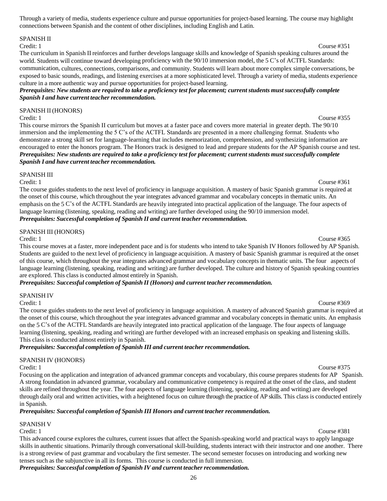Through a variety of media, students experience culture and pursue opportunities for project-based learning. The course may highlight connections between Spanish and the content of other disciplines, including English and Latin.

### SPANISH II

### Credit: 1 Course #351

The curriculum in Spanish II reinforces and further develops language skills and knowledge of Spanish speaking cultures around the world. Students will continue toward developing proficiency with the 90/10 immersion model, the 5 C's of ACTFL Standards: communication, cultures, connections, comparisons, and community. Students will learn about more complex simple conversations, be exposed to basic sounds, readings, and listening exercises at a more sophisticated level. Through a variety of media, students experience culture in a more authentic way and pursue opportunities for project-based learning.

Prerequisites: New students are required to take a proficiency test for placement; current students must successfully complete *Spanish I and have current teacher recommendation.*

SPANISH II (HONORS)

Credit: 1 Course #355 This course mirrors the Spanish II curriculum but moves at a faster pace and covers more material in greater depth. The 90/10 immersion and the implementing the 5 C's of the ACTFL Standards are presented in a more challenging format. Students who demonstrate a strong skill set for language-learning that includes memorization, comprehension, and synthesizing information are encouraged to enter the honors program. The Honors track is designed to lead and prepare students for the AP Spanish course and test. Prerequisites: New students are required to take a proficiency test for placement; current students must successfully complete *Spanish I and have current teacher recommendation.*

### SPANISH III

Credit: 1 Course #361 The course guides students to the next level of proficiency in language acquisition. A mastery of basic Spanish grammar is required at the onset of this course, which throughout the year integrates advanced grammar and vocabulary concepts in thematic units. An emphasis on the 5 C's of the ACTFL Standards are heavily integrated into practical application of the language. The four aspects of language learning (listening, speaking, reading and writing) are further developed using the 90/10 immersion model. *Prerequisites: Successful completion of Spanish II and current teacher recommendation.*

### SPANISH III (HONORS)

Credit: 1 Course #365 This course moves at a faster, more independent pace and is for students who intend to take Spanish IV Honors followed by AP Spanish. Students are guided to the next level of proficiency in language acquisition. A mastery of basic Spanish grammar is required at the onset of this course, which throughout the year integrates advanced grammar and vocabulary concepts in thematic units. The four aspects of language learning (listening, speaking, reading and writing) are further developed. The culture and history of Spanish speaking countries are explored. This class is conducted almost entirely in Spanish.

*Prerequisites: Successful completion of Spanish II (Honors) and current teacher recommendation.*

### SPANISH IV

Credit: 1 Course #369 The course guides students to the next level of proficiency in language acquisition. A mastery of advanced Spanish grammar is required at the onset of this course, which throughout the year integrates advanced grammar and vocabulary concepts in thematic units. An emphasis on the 5 C's of the ACTFL Standards are heavily integrated into practical application of the language. The four aspects of language learning (listening, speaking, reading and writing) are further developed with an increased emphasis on speaking and listening skills. This class is conducted almost entirely in Spanish.

*Prerequisites: Successful completion of Spanish III and current teacher recommendation.*

### SPANISH IV (HONORS)

Focusing on the application and integration of advanced grammar concepts and vocabulary, this course prepares students for AP Spanish. A strong foundation in advanced grammar, vocabulary and communicative competency is required at the onset of the class, and student skills are refined throughout the year. The four aspects of language learning (listening, speaking, reading and writing) are developed through daily oral and written activities, with a heightened focus on culture through the practice of AP skills. This class is conducted entirely in Spanish.

### *Prerequisites: Successful completion of Spanish III Honors and current teacher recommendation.*

SPANISH V

Credit: 1 Course #381

This advanced course explores the cultures, current issues that affect the Spanish-speaking world and practical ways to apply language skills in authentic situations. Primarily through conversational skill-building, students interact with their instructor and one another. There is a strong review of past grammar and vocabulary the first semester. The second semester focuses on introducing and working new tenses such as the subjunctive in all its forms. This course is conducted in full immersion. *Prerequisites: Successful completion of Spanish IV and current teacher recommendation.*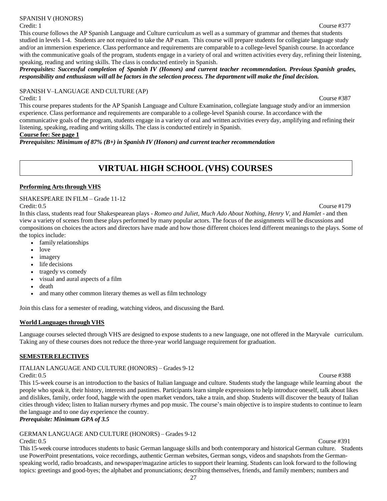### SPANISH V (HONORS)

### Credit: 1 Course #377

### This course follows the AP Spanish Language and Culture curriculum as well as a summary of grammar and themes that students studied in levels 1-4. Students are not required to take the AP exam. This course will prepare students for collegiate language study and/or an immersion experience. Class performance and requirements are comparable to a college-level Spanish course. In accordance with the communicative goals of the program, students engage in a variety of oral and written activities every day, refining their listening, speaking, reading and writing skills. The class is conducted entirely in Spanish.

*Prerequisites: Successful completion of Spanish IV (Honors) and current teacher recommendation. Previous Spanish grades,*  responsibility and enthusiasm will all be factors in the selection process. The department will make the final decision.

### SPANISH V–LANGUAGE AND CULTURE (AP)

### Credit: 1 Course #387

This course prepares students for the AP Spanish Language and Culture Examination, collegiate language study and/or an immersion experience. Class performance and requirements are comparable to a college-level Spanish course. In accordance with the communicative goals of the program, students engage in a variety of oral and written activities every day, amplifying and refining their listening, speaking, reading and writing skills. The class is conducted entirely in Spanish.

### **Course fee: See page 1**

*Prerequisites: Minimum of 87% (B+) in Spanish IV (Honors) and current teacher recommendation*

## **VIRTUAL HIGH SCHOOL (VHS) COURSES**

### **Performing** Arts through VHS

SHAKESPEARE IN FILM – Grade 11-12

In this class, students read four Shakespearean plays - *Romeo and Juliet, Much Ado About Nothing, Henry V,* and *Hamlet* - and then view a variety of scenes from these plays performed by many popular actors. The focus of the assignments will be discussions and compositions on choices the actors and directors have made and how those different choices lend different meanings to the plays. Some of the topics include:

- family relationships
- love
- imagery
- life decisions
- tragedy vs comedy
- visual and aural aspects of a film
- death
- and many other common literary themes as well as film technology

Join this class for a semester of reading, watching videos, and discussing the Bard.

### **World Languages through VHS**

Language courses selected through VHS are designed to expose students to a new language, one not offered in the Maryvale curriculum. Taking any of these courses does not reduce the three-year world language requirement for graduation.

### **SEMESTERELECTIVES**

ITALIAN LANGUAGE AND CULTURE (HONORS) – Grades 9-12

Credit: 0.5 Course #388 This 15-week course is an introduction to the basics of Italian language and culture. Students study the language while learning about the people who speak it, their history, interests and pastimes. Participants learn simple expressions to help introduce oneself, talk about likes and dislikes, family, order food, haggle with the open market vendors, take a train, and shop. Students will discover the beauty of Italian cities through video; listen to Italian nursery rhymes and pop music. The course's main objective is to inspire students to continue to learn the language and to one day experience the country.

### *Prerequisite: Minimum GPA of 3.5*

## GERMAN LANGUAGE AND CULTURE (HONORS) – Grades 9-12

Credit: 0.5 Course #391 This 15-week course introduces students to basic German language skills and both contemporary and historical German culture. Students use PowerPoint presentations, voice recordings, authentic German websites, German songs, videos and snapshots from the Germanspeaking world, radio broadcasts, and newspaper/magazine articles to support their learning. Students can look forward to the following topics: greetings and good-byes; the alphabet and pronunciations; describing themselves, friends, and family members; numbers and

### Credit: 0.5 Course #179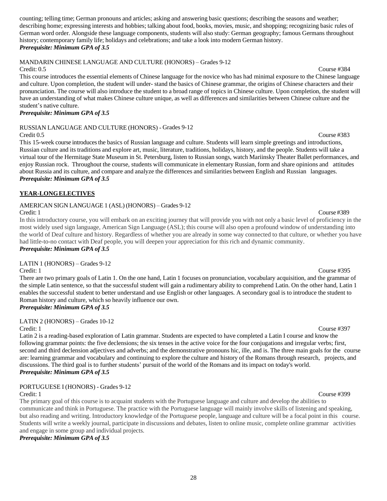counting; telling time; German pronouns and articles; asking and answering basic questions; describing the seasons and weather; describing home; expressing interests and hobbies; talking about food, books, movies, music, and shopping; recognizing basic rules of German word order. Alongside these language components, students will also study: German geography; famous Germans throughout history; contemporary family life; holidays and celebrations; and take a look into modern German history. *Prerequisite: Minimum GPA of 3.5*

MANDARIN CHINESE LANGUAGE AND CULTURE (HONORS) – Grades 9-12

Credit: 0.5 Course #384 This course introduces the essential elements of Chinese language for the novice who has had minimal exposure to the Chinese language and culture. Upon completion, the student will under- stand the basics of Chinese grammar, the origins of Chinese characters and their pronunciation. The course will also introduce the student to a broad range of topics in Chinese culture. Upon completion, the student will have an understanding of what makes Chinese culture unique, as well as differences and similarities between Chinese culture and the student's native culture.

### *Prerequisite: Minimum GPA of 3.5*

RUSSIAN LANGUAGE AND CULTURE (HONORS) - Grades 9-12

Credit 0.5 Course #383 This 15-week course introduces the basics of Russian language and culture. Students will learn simple greetings and introductions, Russian culture and its traditions and explore art, music, literature, traditions, holidays, history, and the people. Students will take a virtual tour of the Hermitage State Museum in St. Petersburg, listen to Russian songs, watch Mariinsky Theater Ballet performances, and enjoy Russian rock. Throughout the course, students will communicate in elementary Russian, form and share opinions and attitudes about Russia and its culture, and compare and analyze the differences and similarities between English and Russian languages. *Prerequisite: Minimum GPA of 3.5*

### **YEAR-LONGELECTIVES**

### AMERICAN SIGN LANGUAGE 1 (ASL) (HONORS) – Grades 9-12

In this introductory course, you will embark on an exciting journey that will provide you with not only a basic level of proficiency in the most widely used sign language, American Sign Language (ASL); this course will also open a profound window of understanding into the world of Deaf culture and history. Regardless of whether you are already in some way connected to that culture, or whether you have had little-to-no contact with Deaf people, you will deepen your appreciation for this rich and dynamic community. *Prerequisite: Minimum GPA of 3.5*

LATIN 1 (HONORS) – Grades 9-12

Credit: 1 Course #395

There are two primary goals of Latin 1. On the one hand, Latin 1 focuses on pronunciation, vocabulary acquisition, and the grammar of the simple Latin sentence, so that the successful student will gain a rudimentary ability to comprehend Latin. On the other hand, Latin 1 enables the successful student to better understand and use English or other languages. A secondary goal is to introduce the student to Roman history and culture, which so heavily influence our own.

### *Prerequisite: Minimum GPA of 3.5*

LATIN 2 (HONORS) – Grades 10-12

Credit: 1 Course #397 Latin 2 is a reading-based exploration of Latin grammar. Students are expected to have completed a Latin I course and know the following grammar points: the five declensions; the six tenses in the active voice for the four conjugations and irregular verbs; first, second and third declension adjectives and adverbs; and the demonstrative pronouns hic, ille, and is. The three main goals for the course are: learning grammar and vocabulary and continuing to explore the culture and history of the Romans through research, projects, and discussions. The third goal is to further students' pursuit of the world of the Romans and its impact on today's world. *Prerequisite: Minimum GPA of 3.5*

### PORTUGUESE I (HONORS) - Grades 9-12

The primary goal of this course is to acquaint students with the Portuguese language and culture and develop the abilities to communicate and think in Portuguese. The practice with the Portuguese language will mainly involve skills of listening and speaking, but also reading and writing. Introductory knowledge of the Portuguese people, language and culture will be a focal point in this course. Students will write a weekly journal, participate in discussions and debates, listen to online music, complete online grammar activities and engage in some group and individual projects.

<span id="page-29-0"></span>*Prerequisite: Minimum GPA of 3.5*

### Credit: 1 Course #389